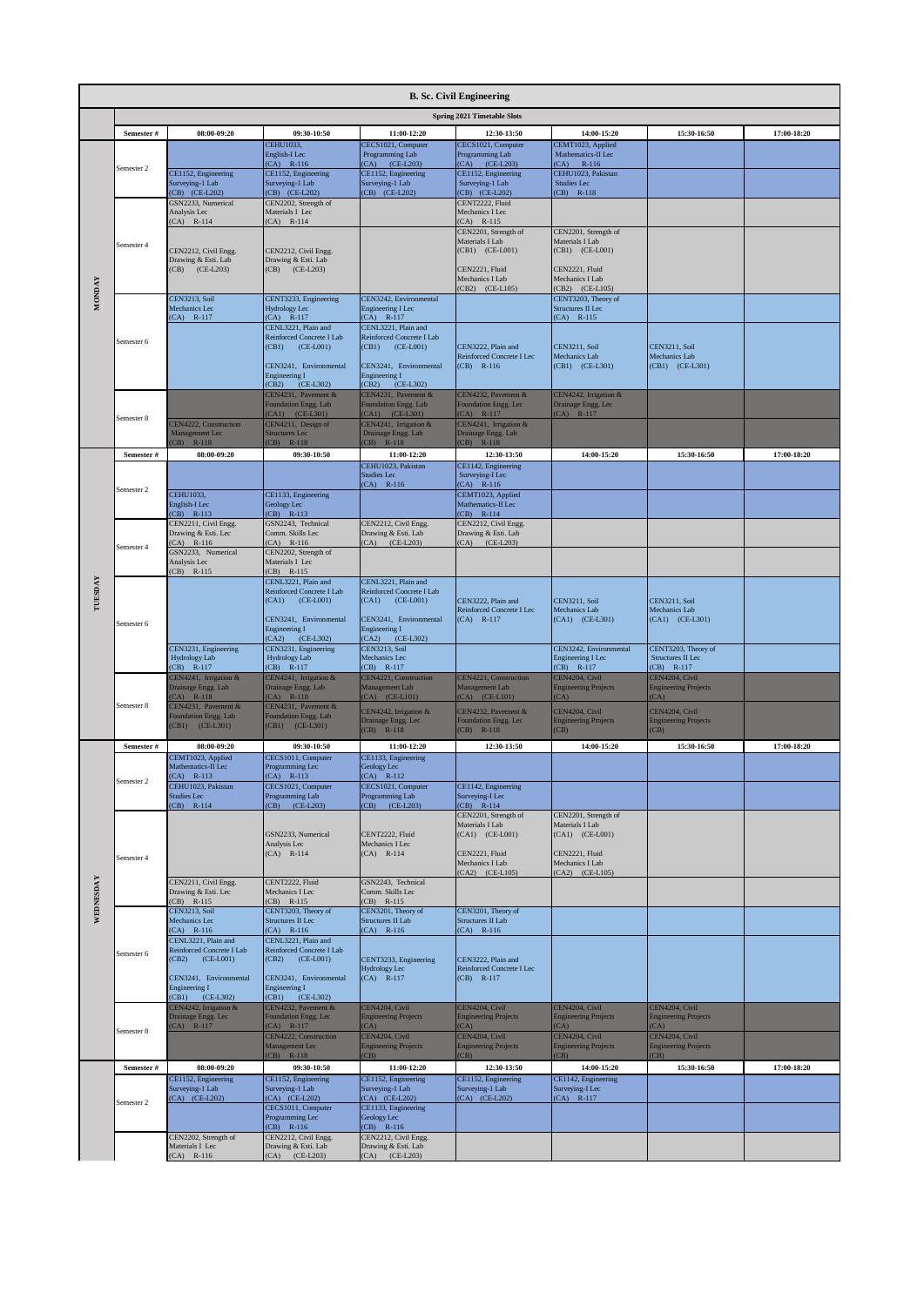|               | <b>B. Sc. Civil Engineering</b> |                                                                     |                                                                          |                                                                         |                                                                 |                                                             |                                               |             |  |  |  |
|---------------|---------------------------------|---------------------------------------------------------------------|--------------------------------------------------------------------------|-------------------------------------------------------------------------|-----------------------------------------------------------------|-------------------------------------------------------------|-----------------------------------------------|-------------|--|--|--|
|               |                                 |                                                                     |                                                                          |                                                                         | <b>Spring 2021 Timetable Slots</b>                              |                                                             |                                               |             |  |  |  |
|               | Semester #                      | 08:00-09:20                                                         | 09:30-10:50<br><b>CEHU1033.</b>                                          | 11:00-12:20<br>CECS1021, Computer                                       | 12:30-13:50<br>CECS1021, Computer                               | 14:00-15:20<br>CEMT1023, Applied                            | 15:30-16:50                                   | 17:00-18:20 |  |  |  |
|               |                                 |                                                                     | English-I Lec<br>$(CA)$ R-116                                            | Programming Lab<br>(CA) (CE-L203)                                       | Programming Lab<br>(CA) (CE-L203)                               | Mathematics-II Lec<br>(CA)<br>R-116                         |                                               |             |  |  |  |
|               | Semester 2                      | CE1152, Engineering<br>Surveying-1 Lab                              | CE1152, Engineering<br>Surveying-1 Lab                                   | CE1152, Engineering<br>Surveying-1 Lab                                  | CE1152, Engineering<br>Surveying-1 Lab                          | CEHU1023, Pakistan<br>Studies Lec                           |                                               |             |  |  |  |
|               |                                 | CB) (CE-L202)<br>GSN2233, Numerical                                 | (CB) (CE-L202)<br>CEN2202, Strength of                                   | (CB) (CE-L202)                                                          | (CB) (CE-L202)<br>CENT2222, Fluid                               | (CB) R-118                                                  |                                               |             |  |  |  |
|               |                                 | Analysis Lec<br>$(CA)$ R-114                                        | Materials I Lec<br>$(CA)$ R-114                                          |                                                                         | Mechanics I Lec<br>$(CA)$ R-115                                 |                                                             |                                               |             |  |  |  |
|               | Semester 4                      |                                                                     |                                                                          |                                                                         | CEN2201, Strength of<br>Materials I Lab                         | CEN2201, Strength of<br>Materials I Lab                     |                                               |             |  |  |  |
|               |                                 | CEN2212, Civil Engg.<br>Drawing & Esti. Lab                         | CEN2212, Civil Engg.<br>Drawing & Esti. Lab<br>$(CB)$ $(CE-L203)$        |                                                                         | (CB1) (CE-L001)                                                 | (CB1) (CE-L001)                                             |                                               |             |  |  |  |
|               |                                 | (CB) (CE-L203)                                                      |                                                                          |                                                                         | CEN2221, Fluid<br>Mechanics I Lab<br>(CB2) (CE-L105)            | CEN2221, Fluid<br>Mechanics I Lab<br>(CB2) (CE-L105)        |                                               |             |  |  |  |
| <b>MONDAY</b> |                                 | <b>CEN3213, Soil</b><br>Mechanics Lec                               | CENT3233, Engineering<br>Hydrology Lec                                   | CEN3242, Environmental<br>Engineering I Lec                             |                                                                 | CENT3203, Theory of<br>Structures II Lec                    |                                               |             |  |  |  |
|               |                                 | $(CA)$ R-117                                                        | $(CA)$ R-117<br>CENL3221, Plain and                                      | $(CA)$ R-117<br>CENL3221, Plain and                                     |                                                                 | $(CA)$ R-115                                                |                                               |             |  |  |  |
|               | Semester 6                      |                                                                     | Reinforced Concrete I Lab<br>$(CE-L001)$<br>(CB1)                        | Reinforced Concrete I Lab<br>$(CE-L001)$<br>(CB1)                       | CEN3222, Plain and                                              | <b>CEN3211</b> , Soil                                       | <b>CEN3211</b> , Soil                         |             |  |  |  |
|               |                                 |                                                                     | CEN3241, Environmental                                                   | CEN3241, Environmental                                                  | Reinforced Concrete I Lec<br>$(CB)$ R-116                       | Mechanics Lab<br>(CB1) (CE-L301)                            | Mechanics Lab<br>(CB1) (CE-L301)              |             |  |  |  |
|               |                                 |                                                                     | <b>Engineering I</b><br>(CB2)<br>$(CE-L302)$                             | <b>Engineering I</b><br>(CB2)<br>$(CE-L302)$                            |                                                                 |                                                             |                                               |             |  |  |  |
|               |                                 |                                                                     | CEN4231, Pavement &<br>Foundation Engg. Lab<br>CA1) (CE-L301)            | CEN4231, Pavement &<br>Foundation Engg. Lab<br>$(CA1)$ $(CE-L301)$      | CEN4232, Pavement &<br>Foundation Engg. Lec<br>$(CA)$ R-117     | CEN4242, Irrigation &<br>Drainage Engg. Lec<br>$(CA)$ R-117 |                                               |             |  |  |  |
|               | Semester 8                      | <b>EN4222, Construction</b><br>Management Lec                       | CEN4211, Design of<br><b>Structures Lec</b>                              | CEN4241, Irrigation &<br>Drainage Engg. Lab                             | CEN4241, Irrigation &<br>Drainage Engg. Lab                     |                                                             |                                               |             |  |  |  |
|               | Semester #                      | $(CB)$ R-118<br>08:00-09:20                                         | (CB) R-118<br>09:30-10:50                                                | $(CB)$ R-118<br>11:00-12:20                                             | $(CB)$ R-118<br>12:30-13:50                                     | 14:00-15:20                                                 | 15:30-16:50                                   | 17:00-18:20 |  |  |  |
|               |                                 |                                                                     |                                                                          | CEHU1023, Pakistan<br><b>Studies Lec</b>                                | CE1142, Engineering<br>Surveying-I Lec                          |                                                             |                                               |             |  |  |  |
|               | Semester 2                      | <b>CEHU1033.</b>                                                    | CE1133, Engineering                                                      | $(CA)$ R-116                                                            | $(CA)$ R-116<br>CEMT1023, Applied                               |                                                             |                                               |             |  |  |  |
|               |                                 | English-I Lec<br>CB) R-113                                          | Geology Lec<br>$(CB)$ R-113                                              |                                                                         | Mathematics-II Lec<br>$(CB)$ R-114                              |                                                             |                                               |             |  |  |  |
|               |                                 | CEN2211, Civil Engg.<br>Drawing & Esti. Lec                         | GSN2243, Technical<br>Comm. Skills Lec                                   | CEN2212, Civil Engg.<br>Drawing & Esti. Lab                             | CEN2212, Civil Engg.<br>Drawing & Esti. Lab                     |                                                             |                                               |             |  |  |  |
|               | Semester 4                      | $(CA)$ R-116<br>GSN2233, Numerical                                  | $(A)$ R-116<br>CEN2202, Strength of                                      | (CA) (CE-L203)                                                          | $(CA)$ $(CE-L203)$                                              |                                                             |                                               |             |  |  |  |
|               |                                 | Analysis Lec<br>CB) R-115                                           | Materials I Lec<br>CB) R-115                                             |                                                                         |                                                                 |                                                             |                                               |             |  |  |  |
| TUESDAY       |                                 |                                                                     | CENL3221, Plain and<br>Reinforced Concrete I Lab<br>(CA1)<br>$(CE-LO01)$ | CENL3221, Plain and<br>Reinforced Concrete I Lab<br>$(CA1)$ $(CE-L001)$ | CEN3222, Plain and                                              | <b>CEN3211</b> , Soil                                       | <b>CEN3211, Soil</b>                          |             |  |  |  |
|               |                                 |                                                                     | CEN3241, Environmental                                                   | CEN3241, Environmental                                                  | Reinforced Concrete I Lec<br>$(CA)$ R-117                       | Mechanics Lab<br>(CA1) (CE-L301)                            | Mechanics Lab<br>(CA1) (CE-L301)              |             |  |  |  |
|               | Semester 6                      |                                                                     | <b>Engineering I</b><br>(CE-L302)<br>(CA2)                               | <b>Engineering I</b><br>(CA2)<br>$(CE-L302)$                            |                                                                 |                                                             |                                               |             |  |  |  |
|               |                                 | CEN3231, Engineering<br>Hydrology Lab                               | CEN3231, Engineering<br>Hydrology Lab                                    | CEN3213, Soil<br>Mechanics Lec                                          |                                                                 | CEN3242, Environmental<br><b>Engineering I Lec</b>          | CENT3203, Theory of<br>Structures II Lec      |             |  |  |  |
|               |                                 | CB) R-117<br>CEN4241, Irrigation &                                  | $(CB)$ R-117<br>CEN4241, Irrigation &                                    | $(CB)$ R-117<br>CEN4221, Construction                                   | CEN4221, Construction                                           | $(CB)$ R-117<br>CEN4204, Civil                              | $(CB)$ R-117<br>CEN4204, Civil                |             |  |  |  |
|               | Semester 8                      | Drainage Engg. Lab<br>$(CA)$ R-118<br>CEN4231, Pavement &           | Drainage Engg. Lab<br>$(A)$ R-118<br>CEN4231, Pavement &                 | Management Lab<br>(CA) (CE-L101)                                        | Management Lab<br>(CA) (CE-L101)                                | <b>Engineering Projects</b><br>(CA)                         | <b>Engineering Projects</b><br>(CA)           |             |  |  |  |
|               |                                 | Foundation Engg. Lab<br>(CB1) (CE-L301)                             | Foundation Engg. Lab<br>(CB1) (CE-L301)                                  | CEN4242, Irrigation &<br>Drainage Engg. Lec                             | CEN4232, Pavement &<br>Foundation Engg. Lec                     | CEN4204, Civil<br><b>Engineering Projects</b>               | CEN4204, Civil<br><b>Engineering Projects</b> |             |  |  |  |
|               | Semester #                      | 08:00-09:20                                                         | 09:30-10:50                                                              | $(CB)$ R-118<br>11:00-12:20                                             | (CB) R-118<br>12:30-13:50                                       | CB)<br>14:00-15:20                                          | (CB)<br>15:30-16:50                           | 17:00-18:20 |  |  |  |
|               |                                 | CEMT1023, Applied<br>Mathematics-II Lec                             | CECS1011, Computer<br>Programming Lec                                    | CE1133, Engineering<br>Geology Lec                                      |                                                                 |                                                             |                                               |             |  |  |  |
|               | Semester 2                      | CA) R-113<br>CEHU1023, Pakistan                                     | $(CA)$ R-113<br>CECS1021, Computer                                       | $(CA)$ R-112<br>CECS1021, Computer                                      | CE1142, Engineering                                             |                                                             |                                               |             |  |  |  |
|               |                                 | Studies Lec<br>$CB)$ R-114                                          | Programming Lab<br>(CB) (CE-L203)                                        | Programming Lab<br>$(CB)$ $(CE-L203)$                                   | Surveying-I Lec<br>$(CB)$ R-114                                 |                                                             |                                               |             |  |  |  |
|               |                                 |                                                                     |                                                                          |                                                                         | CEN2201, Strength of<br>Materials I Lab                         | CEN2201, Strength of<br>Materials I Lab                     |                                               |             |  |  |  |
|               |                                 |                                                                     | GSN2233, Numerical<br>Analysis Lec                                       | CENT2222, Fluid<br>Mechanics I Lec<br>$(CA)$ R-114                      | (CA1) (CE-L001)                                                 | (CA1) (CE-L001)<br>CEN2221, Fluid                           |                                               |             |  |  |  |
|               | Semester 4                      |                                                                     | $(CA)$ R-114                                                             |                                                                         | CEN2221, Fluid<br>Mechanics I Lab<br>(CA2) (CE-L105)            | Mechanics I Lab<br>(CA2) (CE-L105)                          |                                               |             |  |  |  |
|               |                                 | CEN2211, Civil Engg.<br>Drawing & Esti. Lec                         | CENT2222, Fluid<br>Mechanics I Lec                                       | GSN2243, Technical<br>Comm. Skills Lec                                  |                                                                 |                                                             |                                               |             |  |  |  |
| WEDNESDAY     |                                 | CB) R-115<br><b>CEN3213</b> , Soil                                  | $(CB)$ R-115<br>CENT3203, Theory of                                      | $(CB)$ R-115<br>CEN3201, Theory of                                      | CEN3201, Theory of                                              |                                                             |                                               |             |  |  |  |
|               |                                 | Mechanics Lec<br>$CA)$ R-116                                        | Structures II Lec<br>$(A)$ R-116                                         | Structures II Lab<br>$(CA)$ R-116                                       | Structures II Lab<br>$(CA)$ R-116                               |                                                             |                                               |             |  |  |  |
|               | Semester 6                      | CENL3221, Plain and<br>Reinforced Concrete I Lab<br>(CB2) (CE-L001) | CENL3221, Plain and<br>Reinforced Concrete I Lab<br>$(CB2)$ $(CE-L001)$  |                                                                         |                                                                 |                                                             |                                               |             |  |  |  |
|               |                                 | CEN3241, Environmental                                              | CEN3241, Environmental                                                   | CENT3233, Engineering<br>Hydrology Lec<br>$(CA)$ R-117                  | CEN3222, Plain and<br>Reinforced Concrete I Lec<br>$(CB)$ R-117 |                                                             |                                               |             |  |  |  |
|               |                                 | Engineering I<br>(CB1) (CE-L302)                                    | <b>Engineering I</b><br>(CB1) (CE-L302)                                  |                                                                         |                                                                 |                                                             |                                               |             |  |  |  |
|               |                                 | CEN4242, Irrigation &<br>Drainage Engg. Lec                         | CEN4232, Pavement &<br>Foundation Engg. Lec                              | CEN4204, Civil<br><b>Engineering Projects</b>                           | CEN4204, Civil<br><b>Engineering Projects</b>                   | CEN4204, Civil<br><b>Engineering Projects</b>               | CEN4204, Civil<br><b>Engineering Projects</b> |             |  |  |  |
|               | Semester 8                      | $(CA)$ R-117                                                        | $(A)$ R-117<br>CEN4222, Construction                                     | (CA)<br>CEN4204, Civil                                                  | (CA)<br>CEN4204, Civil                                          | (CA)<br>CEN4204, Civil                                      | (CA)<br>CEN4204, Civil                        |             |  |  |  |
|               |                                 |                                                                     | Management Lec<br>CB) R-118                                              | <b>Engineering Projects</b><br>(CB)                                     | <b>Engineering Projects</b><br>CB)                              | <b>Engineering Projects</b><br>CB)                          | <b>Engineering Projects</b><br>(CB)           |             |  |  |  |
|               | Semester #                      | 08:00-09:20<br>CE1152, Engineering                                  | 09:30-10:50<br>CE1152, Engineering                                       | 11:00-12:20<br>CE1152, Engineering                                      | 12:30-13:50<br>CE1152, Engineering                              | 14:00-15:20<br>CE1142, Engineering                          | 15:30-16:50                                   | 17:00-18:20 |  |  |  |
|               | Semester 2                      | Surveying-1 Lab<br>CA) (CE-L202)                                    | Surveying-1 Lab<br>(CA) (CE-L202)                                        | Surveying-1 Lab<br>(CA) (CE-L202)                                       | Surveying-1 Lab<br>(CA) (CE-L202)                               | Surveying-I Lec<br>$CA)$ R-117                              |                                               |             |  |  |  |
|               |                                 |                                                                     | CECS1011, Computer<br>Programming Lec<br>$(B)$ R-116                     | CE1133, Engineering<br>Geology Lec                                      |                                                                 |                                                             |                                               |             |  |  |  |
|               |                                 | CEN2202, Strength of<br>Materials I Lec                             | CEN2212, Civil Engg.<br>Drawing & Esti. Lab                              | $(CB)$ R-116<br>CEN2212, Civil Engg.<br>Drawing & Esti. Lab             |                                                                 |                                                             |                                               |             |  |  |  |
|               |                                 | $(A)$ R-116                                                         | $(CA)$ $(CE-L203)$                                                       | $(CA)$ $(CE-L203)$                                                      |                                                                 |                                                             |                                               |             |  |  |  |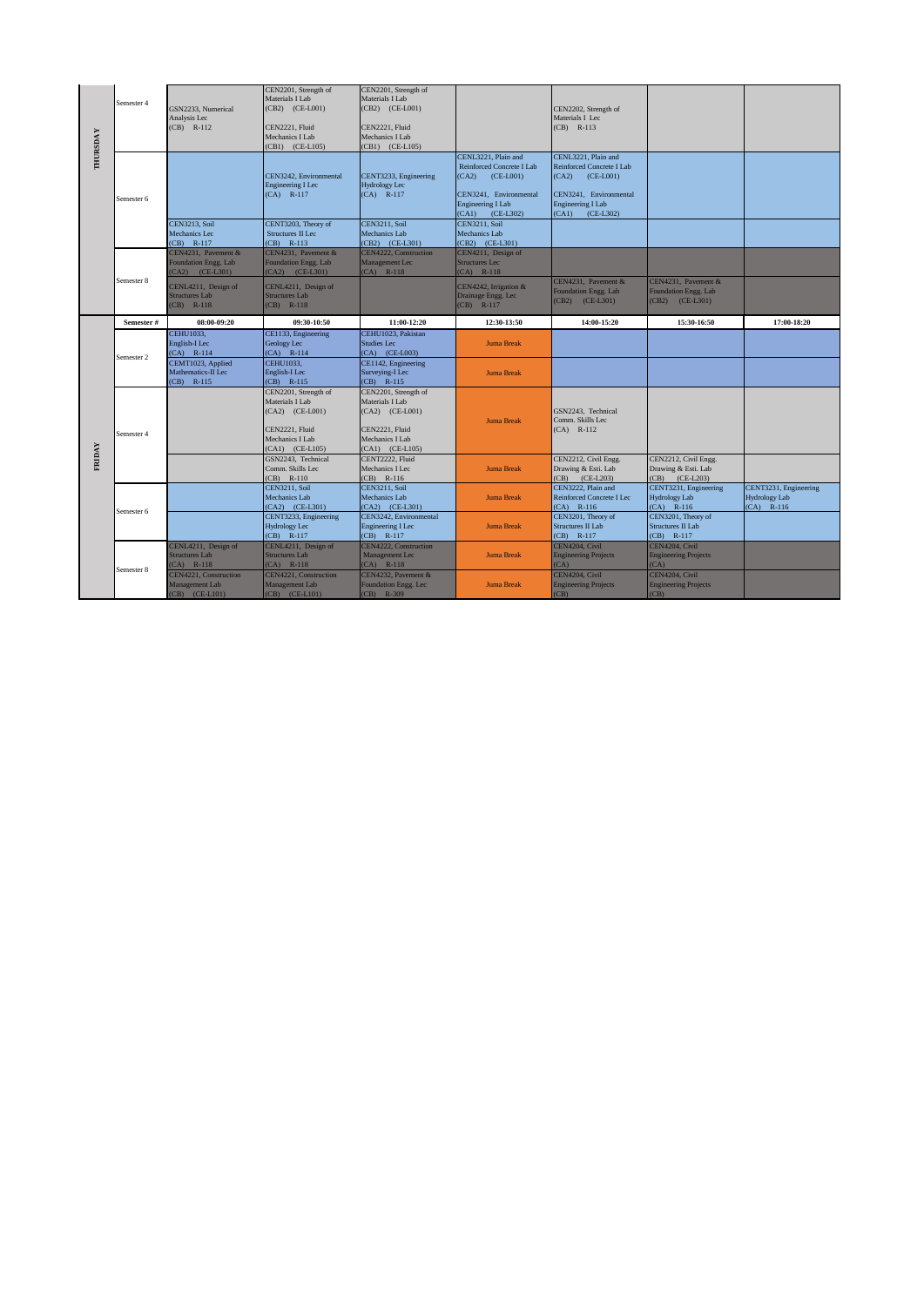| <b>THURSDAY</b> | Semester 4            | GSN2233, Numerical<br>Analysis Lec<br>CB) R-112                | CEN2201, Strength of<br>Materials I Lab<br>(CB2) (CE-L001)<br>CEN2221, Fluid<br>Mechanics I Lab<br>(CB1) (CE-L105)     | CEN2201, Strength of<br>Materials I Lab<br>(CB2) (CE-L001)<br>CEN2221, Fluid<br>Mechanics I Lab<br>$(CB1)$ $(CE-L105)$     |                                                                                                                                                | CEN2202, Strength of<br>Materials I Lec<br>$(CB)$ R-113                                                                                               |                                                                    |                                                               |
|-----------------|-----------------------|----------------------------------------------------------------|------------------------------------------------------------------------------------------------------------------------|----------------------------------------------------------------------------------------------------------------------------|------------------------------------------------------------------------------------------------------------------------------------------------|-------------------------------------------------------------------------------------------------------------------------------------------------------|--------------------------------------------------------------------|---------------------------------------------------------------|
|                 | Semester 6            |                                                                | CEN3242, Environmental<br><b>Engineering I Lec</b><br>$(CA)$ R-117                                                     | CENT3233, Engineering<br><b>Hydrology Lec</b><br>$(CA)$ R-117                                                              | CENL3221, Plain and<br>Reinforced Concrete I Lab<br>(CA2)<br>$(CE-L001)$<br>CEN3241. Environmental<br>Engineering I Lab<br>$(CA1)$ $(CE-L302)$ | CENL3221, Plain and<br>Reinforced Concrete I Lab<br>(CA2)<br>$(CE-L001)$<br>CEN3241. Environmental<br><b>Engineering I Lab</b><br>$(CA1)$ $(CE-L302)$ |                                                                    |                                                               |
|                 |                       | CEN3213, Soil<br>Mechanics Lec<br>(CB) R-117                   | CENT3203, Theory of<br><b>Structures II Lec</b><br>$(CB)$ R-113                                                        | <b>CEN3211, Soil</b><br>Mechanics Lab<br>(CB2) (CE-L301)                                                                   | <b>CEN3211, Soil</b><br>Mechanics Lab<br>(CB2) (CE-L301)                                                                                       |                                                                                                                                                       |                                                                    |                                                               |
|                 |                       | CEN4231. Pavement &<br>Foundation Engg. Lab<br>(CA2) (CE-L301) | CEN4231. Pavement &<br>Foundation Engg. Lab<br>$(CA2)$ $(CE-L301)$                                                     | CEN4222, Construction<br>Management Lec<br>$(CA)$ R-118                                                                    | CEN4211, Design of<br><b>Structures Lec</b><br>$(CA)$ R-118                                                                                    |                                                                                                                                                       |                                                                    |                                                               |
|                 | Semester 8            | CENL4211, Design of<br><b>Structures Lab</b><br>$(CB)$ R-118   | CENL4211, Design of<br><b>Structures Lab</b><br>$(CB)$ R-118                                                           |                                                                                                                            | CEN4242, Irrigation &<br>Drainage Engg. Lec<br>$(CB)$ R-117                                                                                    | CEN4231. Pavement &<br>Foundation Engg. Lab<br>(CB2) (CE-L301)                                                                                        | CEN4231. Pavement &<br>Foundation Engg. Lab<br>$(CB2)$ $(CE-L301)$ |                                                               |
|                 | Semester #            | 08:00-09:20                                                    | 09:30-10:50                                                                                                            | 11:00-12:20                                                                                                                | 12:30-13:50                                                                                                                                    | 14:00-15:20                                                                                                                                           | 15:30-16:50                                                        | 17:00-18:20                                                   |
|                 | Semester <sub>2</sub> | <b>CEHU1033,</b><br>English-I Lec<br>$(CA)$ R-114              | CE1133, Engineering<br>Geology Lec<br>$(CA)$ R-114                                                                     | CEHU1023, Pakistan<br><b>Studies Lec</b><br>(CA) (CE-L003)                                                                 | <b>Juma Break</b>                                                                                                                              |                                                                                                                                                       |                                                                    |                                                               |
|                 |                       | CEMT1023, Applied<br>Mathematics-II Lec<br>(CB) R-115          | <b>CEHU1033,</b><br>English-I Lec<br>$(CB)$ R-115                                                                      | CE1142, Engineering<br>Surveying-I Lec<br>$(CB)$ R-115                                                                     | <b>Juma Break</b>                                                                                                                              |                                                                                                                                                       |                                                                    |                                                               |
|                 | Semester 4            |                                                                | CEN2201, Strength of<br>Materials I Lab<br>$(CA2)$ $(CE-L001)$<br>CEN2221, Fluid<br>Mechanics I Lab<br>(CA1) (CE-L105) | CEN2201, Strength of<br>Materials I Lab<br>$(CA2)$ $(CE-L001)$<br>CEN2221, Fluid<br>Mechanics I Lab<br>$(CA1)$ $(CE-L105)$ | <b>Juma Break</b>                                                                                                                              | GSN2243. Technical<br>Comm. Skills Lec<br>$(CA)$ R-112                                                                                                |                                                                    |                                                               |
| <b>FRIDAY</b>   |                       |                                                                | GSN2243. Technical<br>Comm. Skills Lec<br>$(CB)$ R-110                                                                 | CENT2222, Fluid<br>Mechanics I Lec<br>$(CB)$ R-116                                                                         | <b>Juma Break</b>                                                                                                                              | CEN2212, Civil Engg.<br>Drawing & Esti. Lab<br>(CB) (CE-L203)                                                                                         | CEN2212, Civil Engg.<br>Drawing & Esti. Lab<br>(CB) (CE-L203)      |                                                               |
|                 | Semester 6            |                                                                | <b>CEN3211, Soil</b><br>Mechanics Lab<br>(CA2) (CE-L301)                                                               | <b>CEN3211, Soil</b><br>Mechanics Lab<br>(CA2) (CE-L301)                                                                   | <b>Juma Break</b>                                                                                                                              | CEN3222, Plain and<br>Reinforced Concrete I Lec<br>$(CA)$ R-116                                                                                       | CENT3231, Engineering<br><b>Hydrology Lab</b><br>$(CA)$ R-116      | CENT3231, Engineering<br><b>Hydrology Lab</b><br>$(CA)$ R-116 |
|                 |                       |                                                                | CENT3233, Engineering<br>Hydrology Lec<br>$(CB)$ R-117                                                                 | CEN3242. Environmental<br><b>Engineering I Lec</b><br>$(CB)$ R-117                                                         | <b>Juma Break</b>                                                                                                                              | CEN3201, Theory of<br><b>Structures II Lab</b><br>(CB) R-117                                                                                          | CEN3201, Theory of<br>Structures II Lab<br>$(CB)$ R-117            |                                                               |
|                 | Semester 8            | CENL4211, Design of<br><b>Structures Lab</b><br>$(CA)$ R-118   | CENL4211, Design of<br><b>Structures Lab</b><br>$(CA)$ R-118                                                           | CEN4222, Construction<br>Management Lec<br>$(CA)$ R-118                                                                    | <b>Juma Break</b>                                                                                                                              | CEN4204, Civil<br><b>Engineering Projects</b><br>(CA)                                                                                                 | CEN4204, Civil<br><b>Engineering Projects</b><br>(CA)              |                                                               |
|                 |                       | CEN4221, Construction<br>Management Lab<br>(CB) (CE-L101)      | CEN4221, Construction<br>Management Lab<br>(CB) (CE-L101)                                                              | CEN4232, Pavement &<br>Foundation Engg. Lec<br>$(CB)$ R-309                                                                | <b>Juma Break</b>                                                                                                                              | CEN4204, Civil<br><b>Engineering Projects</b><br>(CB)                                                                                                 | CEN4204, Civil<br><b>Engineering Projects</b><br>(CB)              |                                                               |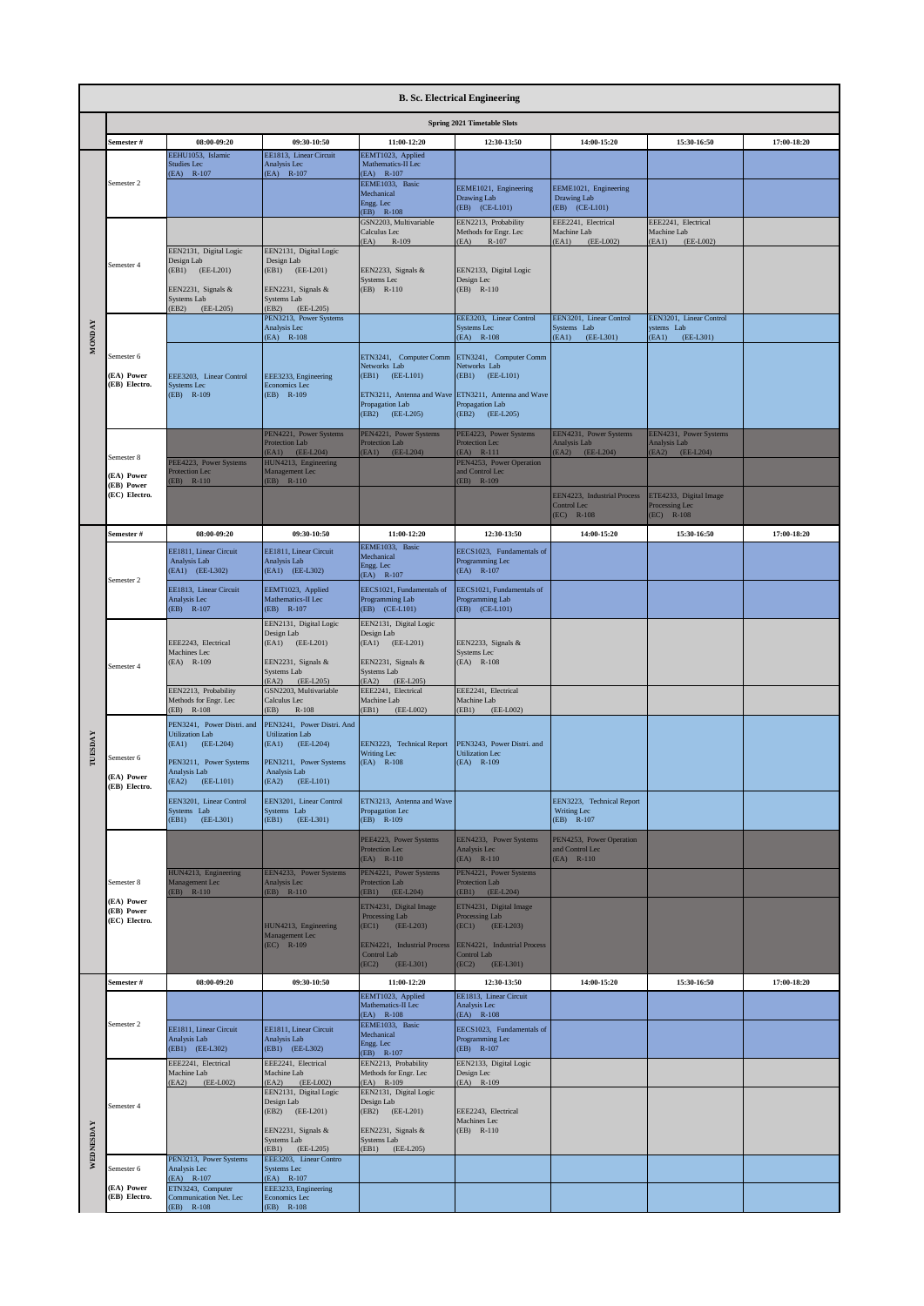|               |                                           |                                                              |                                                              |                                                                        | <b>B. Sc. Electrical Engineering</b>                            |                                                           |                                                           |             |
|---------------|-------------------------------------------|--------------------------------------------------------------|--------------------------------------------------------------|------------------------------------------------------------------------|-----------------------------------------------------------------|-----------------------------------------------------------|-----------------------------------------------------------|-------------|
|               |                                           |                                                              |                                                              |                                                                        | <b>Spring 2021 Timetable Slots</b>                              |                                                           |                                                           |             |
|               | Semester #                                | 08:00-09:20                                                  | 09:30-10:50                                                  | 11:00-12:20                                                            | 12:30-13:50                                                     | 14:00-15:20                                               | 15:30-16:50                                               | 17:00-18:20 |
|               |                                           | EEHU1053, Islamic<br><b>Studies Lec</b><br>(EA) R-107        | EE1813, Linear Circuit<br>Analysis Lec<br>(EA) R-107         | EEMT1023, Applied<br>Mathematics-II Lec<br>$(EA)$ R-107                |                                                                 |                                                           |                                                           |             |
|               | Semester 2                                |                                                              |                                                              | EEME1033, Basic<br>Mechanical<br>Engg. Lec                             | EEME1021, Engineering<br>Drawing Lab                            | EEME1021, Engineering<br>Drawing Lab                      |                                                           |             |
|               |                                           |                                                              |                                                              | $(EB)$ R-108<br>GSN2203, Multivariable                                 | (EB) (CE-L101)<br>EEN2213, Probability                          | (EB) (CE-L101)<br>EEE2241, Electrical                     | EEE2241, Electrical                                       |             |
|               |                                           |                                                              |                                                              | Calculus Lec<br>(EA)<br>R-109                                          | Methods for Engr. Lec<br>(EA)<br>$R-107$                        | Machine Lab<br>EA1<br>(EE-L002)                           | Machine Lab<br>(EA1)<br>(EE-L002)                         |             |
|               | Semester 4                                | EEN2131, Digital Logic<br>Design Lab                         | EEN2131, Digital Logic<br>Design Lab                         |                                                                        |                                                                 |                                                           |                                                           |             |
|               |                                           | EB1) (EE-L201)                                               | (EB1) (EE-L201)                                              | EEN2233, Signals &<br>Systems Lec                                      | EEN2133, Digital Logic<br>Design Lec                            |                                                           |                                                           |             |
|               |                                           | EEN2231, Signals &<br>Systems Lab                            | EEN2231, Signals &<br>Systems Lab                            | $(EB)$ R-110                                                           | (EB) R-110                                                      |                                                           |                                                           |             |
|               |                                           | EB2)<br>(EE-L205)                                            | EB <sub>2</sub> )<br>(EE-L205)<br>PEN3213, Power Systems     |                                                                        | EEE3203, Linear Control                                         | EEN3201, Linear Control                                   | EEN3201, Linear Control                                   |             |
| <b>MONDAY</b> |                                           |                                                              | Analysis Lec<br>(EA) R-108                                   |                                                                        | <b>Systems Lec</b><br>$(EA)$ R-108                              | Systems Lab<br>(EA1)<br>(EE-L301)                         | ystems Lab<br>(EA1)<br>(EE-L301)                          |             |
|               | Semester 6                                |                                                              |                                                              | ETN3241, Computer Comm ETN3241, Computer Comm<br>Networks Lab          | Networks Lab                                                    |                                                           |                                                           |             |
|               | (EA) Power<br>(EB) Electro.               | EEE3203, Linear Control<br><b>Systems Lec</b>                | EEE3233, Engineering<br>Economics Lec                        | (EB1) (EE-L101)                                                        | (EB1) (EE-L101)                                                 |                                                           |                                                           |             |
|               |                                           | (EB) R-109                                                   | (EB) R-109                                                   | ETN3211, Antenna and Wave ETN3211, Antenna and Wave<br>Propagation Lab | Propagation Lab                                                 |                                                           |                                                           |             |
|               |                                           |                                                              |                                                              | (EB2) (EE-L205)                                                        | (EB2) (EE-L205)                                                 |                                                           |                                                           |             |
|               |                                           |                                                              | PEN4221, Power Systems<br>Protection Lab<br>(EA1) (EE-L204)  | PEN4221, Power Systems<br>Protection Lab<br>(EA1) (EE-L204)            | PEE4223, Power Systems<br>Protection Lec<br>$(EA)$ R-111        | EEN4231, Power Systems<br>Analysis Lab<br>(EA2) (EE-L204) | EEN4231, Power Systems<br>Analysis Lab<br>(EA2) (EE-L204) |             |
|               | Semester 8                                | PEE4223, Power Systems<br><b>Protection</b> Lec              | HUN4213, Engineering<br>Management Lec                       |                                                                        | PEN4253, Power Operation<br>and Control Lec                     |                                                           |                                                           |             |
|               | (EA) Power<br>(EB) Power<br>(EC) Electro. | EB) R-110                                                    | $(EB)$ R-110                                                 |                                                                        | $(EB)$ R-109                                                    |                                                           |                                                           |             |
|               |                                           |                                                              |                                                              |                                                                        |                                                                 | EEN4223, Industrial Process<br>Control Lec<br>(EC) R-108  | ETE4233, Digital Image<br>Processing Lec<br>$(EC)$ R-108  |             |
|               | Semester #                                | 08:00-09:20                                                  | 09:30-10:50                                                  | 11:00-12:20                                                            | 12:30-13:50                                                     | 14:00-15:20                                               | 15:30-16:50                                               | 17:00-18:20 |
|               | Semester 2                                | EE1811, Linear Circuit<br>Analysis Lab                       | EE1811, Linear Circuit<br>Analysis Lab                       | EEME1033, Basic<br>Mechanical<br>Engg. Lec                             | EECS1023, Fundamentals of<br>Programming Lec                    |                                                           |                                                           |             |
|               |                                           | EA1) (EE-L302)                                               | (EA1) (EE-L302)                                              | (EA) R-107                                                             | (EA) R-107                                                      |                                                           |                                                           |             |
|               |                                           | EE1813, Linear Circuit<br>Analysis Lec<br>$(EB)$ R-107       | EEMT1023, Applied<br>Mathematics-II Lec<br>$(EB)$ R-107      | EECS1021, Fundamentals of<br>Programming Lab<br>(EB) (CE-L101)         | EECS1021, Fundamentals of<br>Programming Lab<br>(EB) (CE-L101)  |                                                           |                                                           |             |
|               |                                           |                                                              | EEN2131, Digital Logic                                       | EEN2131, Digital Logic                                                 |                                                                 |                                                           |                                                           |             |
|               |                                           | EEE2243, Electrical<br>Machines Lec                          | Design Lab<br>(EA1) (EE-L201)                                | Design Lab<br>(EA1) (EE-L201)                                          | EEN2233, Signals &<br>Systems Lec                               |                                                           |                                                           |             |
|               | Semester 4                                | $(EA)$ R-109                                                 | EEN2231, Signals &<br>Systems Lab                            | EEN2231, Signals &<br>Systems Lab                                      | $(EA)$ R-108                                                    |                                                           |                                                           |             |
|               |                                           | EEN2213, Probability                                         | (EE-L205)<br>EA2<br>GSN2203, Multivariable                   | (EA2) (EE-L205)<br>EEE2241, Electrical                                 | EEE2241, Electrical                                             |                                                           |                                                           |             |
|               |                                           | Methods for Engr. Lec<br>EB) R-108                           | Calculus Lec<br>(EB)<br>$R-108$                              | Machine Lab<br>(EB1) (EE-L002)                                         | Machine Lab<br>(EB1)<br>$(EE-L002)$                             |                                                           |                                                           |             |
|               |                                           | PEN3241. Power Distri, and<br><b>Utilization Lab</b>         | PEN3241, Power Distri. And<br><b>Utilization Lab</b>         |                                                                        |                                                                 |                                                           |                                                           |             |
| TUESDAY       | Semester 6                                | (EA1) (EE-L204)                                              | (EA1)<br>$(EE-L204)$                                         | EEN3223, Technical Report<br>Writing Lec<br>$(EA)$ R-108               | PEN3243, Power Distri. and<br><b>Utilization Lec</b>            |                                                           |                                                           |             |
|               | (EA) Power                                | PEN3211, Power Systems<br>Analysis Lab<br>(EA2)<br>(EE-L101) | PEN3211, Power Systems<br>Analysis Lab<br>(EA2)<br>(EE-L101) |                                                                        | $(EA)$ R-109                                                    |                                                           |                                                           |             |
|               | (EB) Electro.                             | EEN3201. Linear Control                                      | EEN3201, Linear Control                                      | ETN3213. Antenna and Wave                                              |                                                                 | EEN3223, Technical Report                                 |                                                           |             |
|               |                                           | Systems Lab<br>(EB1) (EE-L301)                               | Systems Lab<br>(EB1) (EE-L301)                               | Propagation Lec<br>$(EB)$ R-109                                        |                                                                 | Writing Lec<br>$(EB)$ R-107                               |                                                           |             |
|               |                                           |                                                              |                                                              | PEE4223, Power Systems                                                 | EEN4233, Power Systems                                          | PEN4253, Power Operation<br>and Control Lec               |                                                           |             |
|               |                                           |                                                              |                                                              | Protection Lec<br>$(EA)$ R-110                                         | Analysis Lec<br>$(EA)$ R-110                                    | $(EA)$ R-110                                              |                                                           |             |
|               | Semester 8                                | HUN4213, Engineering<br>Management Lec<br>EB) R-110          | EEN4233, Power Systems<br>Analysis Lec<br>$(EB)$ R-110       | PEN4221, Power Systems<br>Protection Lab<br>$(EB1)$ $(EE-L204)$        | PEN4221, Power Systems<br>Protection Lab<br>$(EB1)$ $(EE-L204)$ |                                                           |                                                           |             |
|               | (EA) Power<br>(EB) Power                  |                                                              |                                                              | ETN4231, Digital Image                                                 | ETN4231, Digital Image                                          |                                                           |                                                           |             |
|               | (EC) Electro.                             |                                                              | HUN4213, Engineering<br>Management Lec                       | Processing Lab<br>$(EC1)$ $(EE-L203)$                                  | Processing Lab<br>$(EC1)$ $(EE-L203)$                           |                                                           |                                                           |             |
|               |                                           |                                                              | $(EC)$ R-109                                                 | EEN4221, Industrial Process<br>Control Lab                             | EEN4221, Industrial Process<br>Control Lab                      |                                                           |                                                           |             |
|               |                                           |                                                              |                                                              | (EE-L301)<br>(EC2)                                                     | (EC2)<br>(EE-L301)                                              |                                                           |                                                           |             |
|               | Semester #                                | 08:00-09:20                                                  | 09:30-10:50                                                  | 11:00-12:20<br>EEMT1023, Applied                                       | 12:30-13:50<br>EE1813, Linear Circuit                           | 14:00-15:20                                               | 15:30-16:50                                               | 17:00-18:20 |
|               | Semester 2                                |                                                              |                                                              | Mathematics-II Lec<br>$(EA)$ R-108                                     | Analysis Lec<br>$(EA)$ R-108                                    |                                                           |                                                           |             |
|               |                                           | EE1811, Linear Circuit<br>Analysis Lab                       | EE1811, Linear Circuit<br>Analysis Lab                       | EEME1033, Basic<br>Mechanical<br>Engg. Lec                             | EECS1023, Fundamentals of<br>Programming Lec                    |                                                           |                                                           |             |
|               |                                           | (EB1) (EE-L302)<br>EEE2241, Electrical                       | (EB1) (EE-L302)<br>EEE2241, Electrical                       | $(EB)$ R-107<br>EEN2213, Probability                                   | (EB) R-107<br>EEN2133, Digital Logic                            |                                                           |                                                           |             |
|               |                                           | Machine Lab<br>(EA2) (EE-L002)                               | Machine Lab<br>(EA2) (EE-L002)                               | Methods for Engr. Lec<br>$(EA)$ R-109                                  | Design Lec<br>$(EA)$ R-109                                      |                                                           |                                                           |             |
|               | Semester 4                                |                                                              | EEN2131, Digital Logic<br>Design Lab                         | EEN2131, Digital Logic<br>Design Lab                                   |                                                                 |                                                           |                                                           |             |
|               |                                           |                                                              | (EB2) (EE-L201)<br>EEN2231, Signals &                        | (EB2) (EE-L201)<br>EEN2231, Signals &                                  | EEE2243, Electrical<br>Machines Lec<br>$(EB)$ R-110             |                                                           |                                                           |             |
| WEDNESDAY     |                                           |                                                              | Systems Lab<br>$(EB1)$ $(EE-L205)$                           | Systems Lab<br>(EB1) (EE-L205)                                         |                                                                 |                                                           |                                                           |             |
|               | Semester 6                                | PEN3213, Power Systems<br>Analysis Lec                       | EEE3203, Linear Contro<br>Systems Lec                        |                                                                        |                                                                 |                                                           |                                                           |             |
|               | (EA) Power                                | $(EA)$ R-107<br>ETN3243, Computer                            | $(EA)$ R-107<br>EEE3233, Engineering                         |                                                                        |                                                                 |                                                           |                                                           |             |
|               | (EB) Electro.                             | Communication Net. Lec<br>(EB) R-108                         | Economics Lec<br>EB) R-108                                   |                                                                        |                                                                 |                                                           |                                                           |             |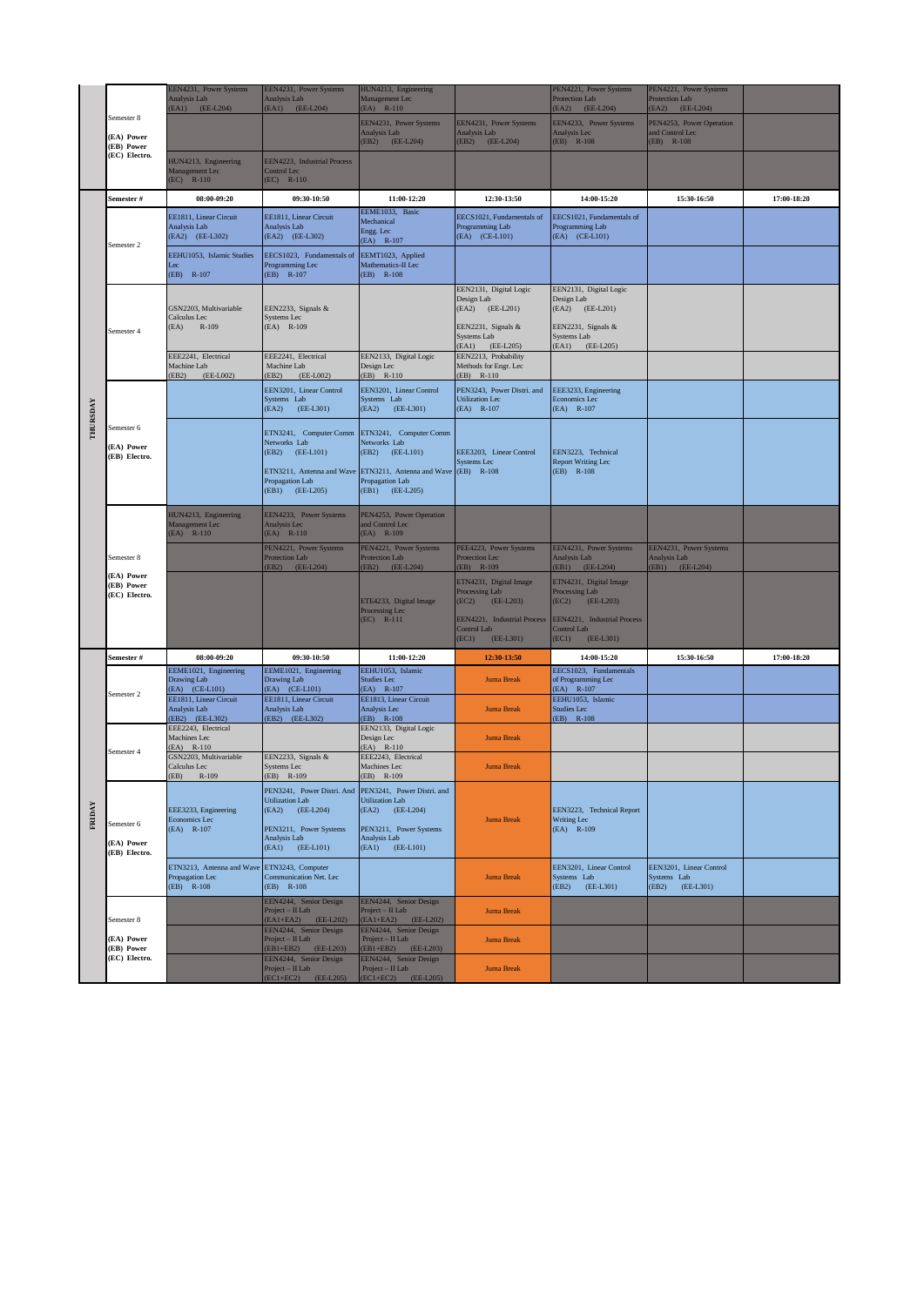|                 |                                           | EEN4231, Power Systems<br>Analysis Lab<br>(EA1) (EE-L204)                      | EEN4231, Power Systems<br>Analysis Lab<br>$(EA1)$ $(EE-L204)$                                                                                       | HUN4213, Engineering<br>Management Lec<br>$(EA)$ R-110                                                                                    |                                                                                                                                      | PEN4221, Power Systems<br><b>Protection Lab</b><br>(EA2) (EE-L204)                                                                     | PEN4221, Power Systems<br><b>Protection Lab</b><br>(EA2) (EE-L204) |             |
|-----------------|-------------------------------------------|--------------------------------------------------------------------------------|-----------------------------------------------------------------------------------------------------------------------------------------------------|-------------------------------------------------------------------------------------------------------------------------------------------|--------------------------------------------------------------------------------------------------------------------------------------|----------------------------------------------------------------------------------------------------------------------------------------|--------------------------------------------------------------------|-------------|
|                 | Semester 8<br>(EA) Power<br>(EB) Power    |                                                                                |                                                                                                                                                     | EEN4231, Power Systems<br>Analysis Lab<br>(EB2) (EE-L204)                                                                                 | EEN4231, Power Systems<br>Analysis Lab<br>(EB2) (EE-L204)                                                                            | EEN4233, Power Systems<br>Analysis Lec<br>$(EB)$ R-108                                                                                 | PEN4253, Power Operation<br>and Control Lec<br>$(EB)$ R-108        |             |
|                 | (EC) Electro.                             | HUN4213, Engineering<br>Management Lec<br>$(EC)$ R-110                         | EEN4223, Industrial Process<br>Control Lec<br>$(EC)$ R-110                                                                                          |                                                                                                                                           |                                                                                                                                      |                                                                                                                                        |                                                                    |             |
|                 | Semester #                                | 08:00-09:20                                                                    | 09:30-10:50                                                                                                                                         | 11:00-12:20                                                                                                                               | 12:30-13:50                                                                                                                          | 14:00-15:20                                                                                                                            | 15:30-16:50                                                        | 17:00-18:20 |
|                 |                                           | EE1811, Linear Circuit<br>Analysis Lab<br>(EA2) (EE-L302)                      | EE1811, Linear Circuit<br>Analysis Lab<br>(EA2) (EE-L302)                                                                                           | EEME1033, Basic<br>Mechanical<br>Engg. Lec<br>$(EA)$ R-107                                                                                | EECS1021, Fundamentals of<br>Programming Lab<br>(EA) (CE-L101)                                                                       | EECS1021, Fundamentals of<br>Programming Lab<br>(EA) (CE-L101)                                                                         |                                                                    |             |
|                 | Semester 2                                | EEHU1053. Islamic Studies<br>Lec<br>$(EB)$ R-107                               | EECS1023. Fundamentals of<br>Programming Lec<br>$(EB)$ R-107                                                                                        | EEMT1023, Applied<br>Mathematics-II Lec<br>$(EB)$ R-108                                                                                   |                                                                                                                                      |                                                                                                                                        |                                                                    |             |
|                 | Semester 4                                | GSN2203, Multivariable<br>Calculus Lec<br>(EA) R-109                           | EEN2233, Signals &<br>Systems Lec<br>(EA) R-109                                                                                                     |                                                                                                                                           | EEN2131, Digital Logic<br>Design Lab<br>(EA2) (EE-L201)<br>EEN2231, Signals &<br>Systems Lab<br>(EA1) (EE-L205)                      | EEN2131, Digital Logic<br>Design Lab<br>(EA2) (EE-L201)<br>EEN2231, Signals &<br><b>Systems Lab</b><br>(EA1)<br>$(EE-L205)$            |                                                                    |             |
|                 |                                           | EEE2241, Electrical<br>Machine Lab                                             | EEE2241, Electrical<br>Machine Lab                                                                                                                  | EEN2133, Digital Logic<br>Design Lec                                                                                                      | EEN2213, Probability<br>Methods for Engr. Lec                                                                                        |                                                                                                                                        |                                                                    |             |
|                 |                                           | EB <sub>2</sub><br>(EE-L002)                                                   | (EB2)<br>(EE-L002)<br>EEN3201, Linear Control<br>Systems Lab<br>(EA2) (EE-L301)                                                                     | $(EB)$ R-110<br>EEN3201, Linear Control<br>Systems Lab<br>(EA2) (EE-L301)                                                                 | $(EB)$ R-110<br>PEN3243, Power Distri. and<br><b>Utilization Lec</b><br>$(EA)$ R-107                                                 | EEE3233, Engineering<br>Economics Lec<br>(EA) R-107                                                                                    |                                                                    |             |
| <b>THURSDAY</b> | Semester 6<br>(EA) Power<br>(EB) Electro. |                                                                                | ETN3241, Computer Comm ETN3241, Computer Comm<br>Networks Lab<br>(EB2) (EE-L101)<br>ETN3211, Antenna and Wave<br>Propagation Lab<br>(EB1) (EE-L205) | Networks Lab<br>(EB2) (EE-L101)<br>ETN3211, Antenna and Wave (EB) R-108<br>Propagation Lab<br>(EB1) (EE-L205)                             | EEE3203, Linear Control<br>Systems Lec                                                                                               | EEN3223, Technical<br><b>Report Writing Lec</b><br>$(EB)$ R-108                                                                        |                                                                    |             |
|                 |                                           | HUN4213, Engineering<br>Management Lec<br>$(EA)$ R-110                         | EEN4233, Power Systems<br>Analysis Lec<br>$(EA)$ R-110                                                                                              | PEN4253, Power Operation<br>and Control Lec<br>$(EA)$ R-109                                                                               |                                                                                                                                      |                                                                                                                                        |                                                                    |             |
|                 | Semester 8                                |                                                                                | PEN4221, Power Systems<br>Protection Lab<br>(EB2) (EE-L204)                                                                                         | PEN4221, Power Systems<br><b>Protection Lab</b><br>(EB2) (EE-L204)                                                                        | PEE4223, Power Systems<br>Protection Lec<br>$(EB)$ R-109                                                                             | EEN4231, Power Systems<br>Analysis Lab<br>(EB1) (EE-L204)                                                                              | EEN4231, Power Systems<br>Analysis Lab<br>(EB1) (EE-L204)          |             |
|                 | (EA) Power<br>(EB) Power<br>(EC) Electro. |                                                                                |                                                                                                                                                     | ETE4233, Digital Image<br>Processing Lec<br>$(EC)$ R-111                                                                                  | ETN4231, Digital Image<br>Processing Lab<br>$(EE-L203)$<br>(EC2)<br>EEN4221, Industrial Process<br>Control Lab<br>(EC1)<br>(EE-L301) | ETN4231, Digital Image<br>Processing Lab<br>$(EE-L203)$<br>(EC2)<br>EEN4221, Industrial Process<br>Control Lab<br>(EC1)<br>$(EE-L301)$ |                                                                    |             |
|                 | Semester #                                | 08:00-09:20                                                                    | 09:30-10:50                                                                                                                                         | 11:00-12:20                                                                                                                               | 12:30-13:50                                                                                                                          | 14:00-15:20                                                                                                                            | 15:30-16:50                                                        | 17:00-18:20 |
|                 | Semester 2                                | EEME1021, Engineering<br>Drawing Lab<br>(EA) (CE-L101)                         | EEME1021, Engineering<br>Drawing Lab<br>(EA) (CE-L101)                                                                                              | EEHU1053, Islamic<br>Studies Lec<br>$(EA)$ R-107                                                                                          | <b>Juma Break</b>                                                                                                                    | EECS1023, Fundamentals<br>of Programming Lec<br>$(EA)$ R-107                                                                           |                                                                    |             |
|                 |                                           | EE1811, Linear Circuit<br>Analysis Lab<br>EB2) (EE-L302)                       | EE1811, Linear Circuit<br>Analysis Lab<br>(EB2) (EE-L302)                                                                                           | EE1813, Linear Circuit<br>Analysis Lec<br>$(EB)$ R-108                                                                                    | <b>Juma Break</b>                                                                                                                    | EEHU1053, Islamic<br><b>Studies Lec</b><br>(EB) R-108                                                                                  |                                                                    |             |
|                 | Semester 4                                | EEE2243, Electrical<br>Machines Lec<br>EA) R-110                               |                                                                                                                                                     | EEN2133, Digital Logic<br>Design Lec<br>(EA) R-110                                                                                        | <b>Juma Break</b>                                                                                                                    |                                                                                                                                        |                                                                    |             |
|                 |                                           | GSN2203, Multivariable<br>Calculus Lec<br>EB) R-109                            | EEN2233, Signals &<br>Systems Lec<br>$(EB)$ R-109                                                                                                   | EEE2243, Electrical<br>Machines Lec<br>$(EB)$ R-109                                                                                       | <b>Juma Break</b>                                                                                                                    |                                                                                                                                        |                                                                    |             |
| FRIDAY          | Semester 6<br>(EA) Power<br>(EB) Electro. | EEE3233, Engineering<br>Economics Lec<br>$(EA)$ R-107                          | PEN3241, Power Distri. And<br><b>Utilization Lab</b><br>(EA2) (EE-L204)<br>PEN3211, Power Systems<br>Analysis Lab<br>$(EA1)$ $(EE-L101)$            | PEN3241, Power Distri. and<br><b>Utilization Lab</b><br>(EA2)<br>$(EE-L204)$<br>PEN3211, Power Systems<br>Analysis Lab<br>(EA1) (EE-L101) | <b>Juma Break</b>                                                                                                                    | EEN3223, Technical Report<br>Writing Lec<br>$(EA)$ R-109                                                                               |                                                                    |             |
|                 |                                           | ETN3213, Antenna and Wave ETN3243, Computer<br>Propagation Lec<br>$(EB)$ R-108 | Communication Net. Lec<br>$(EB)$ R-108                                                                                                              |                                                                                                                                           | <b>Juma Break</b>                                                                                                                    | EEN3201, Linear Control<br>Systems Lab<br>(EB2)<br>(EE-L301)                                                                           | EEN3201, Linear Control<br>Systems Lab<br>(EB2)<br>(EE-L301)       |             |
|                 | Semester 8                                |                                                                                | EEN4244, Senior Design<br>Project $-$ II Lab<br>(EA1+EA2) (EE-L202)                                                                                 | EEN4244, Senior Design<br>Project - II Lab<br>(EA1+EA2) (EE-L202)                                                                         | <b>Juma Break</b>                                                                                                                    |                                                                                                                                        |                                                                    |             |
|                 | (EA) Power<br>(EB) Power                  |                                                                                | EEN4244, Senior Design<br>Project $-$ II Lab<br>(EB1+EB2) (EE-L203)                                                                                 | EEN4244, Senior Design<br>Project $-$ II Lab<br>(EB1+EB2) (EE-L203)                                                                       | <b>Juma Break</b>                                                                                                                    |                                                                                                                                        |                                                                    |             |
|                 | (EC) Electro.                             |                                                                                | EEN4244, Senior Design<br>Project $-$ II Lab<br>$(EC1 + EC2)$ $(EE-L205)$                                                                           | EEN4244, Senior Design<br>Project - II Lab<br>$(EC1 + EC2)$ $(EE-L205)$                                                                   | <b>Juma Break</b>                                                                                                                    |                                                                                                                                        |                                                                    |             |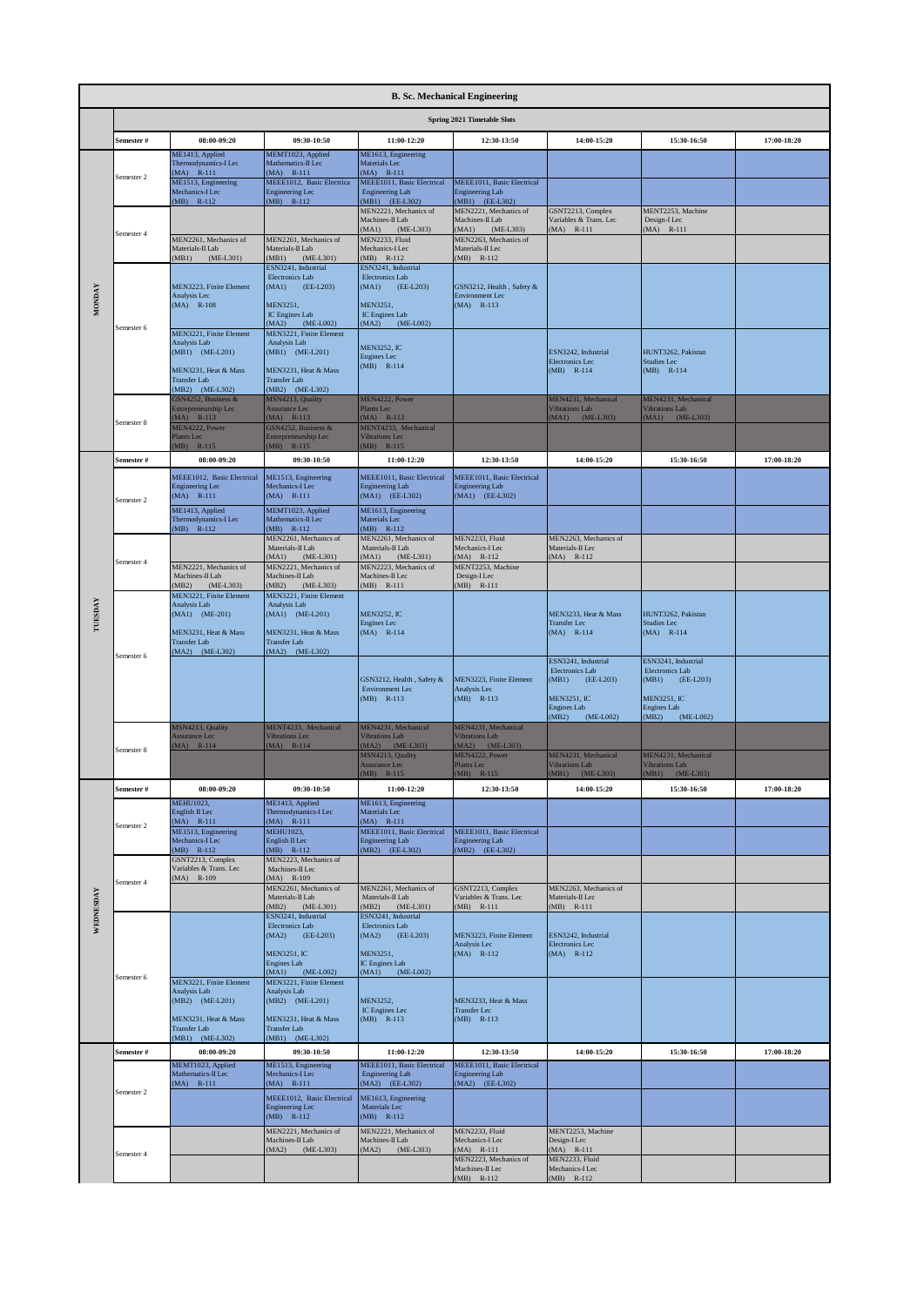|           | <b>B. Sc. Mechanical Engineering</b> |                                                                |                                                                     |                                                                       |                                                            |                                                                |                                                                |             |  |  |  |
|-----------|--------------------------------------|----------------------------------------------------------------|---------------------------------------------------------------------|-----------------------------------------------------------------------|------------------------------------------------------------|----------------------------------------------------------------|----------------------------------------------------------------|-------------|--|--|--|
|           |                                      |                                                                |                                                                     |                                                                       | Spring 2021 Timetable Slots                                |                                                                |                                                                |             |  |  |  |
|           | Semester #                           | 08:00-09:20                                                    | 09:30-10:50                                                         | 11:00-12:20                                                           | 12:30-13:50                                                | 14:00-15:20                                                    | 15:30-16:50                                                    | 17:00-18:20 |  |  |  |
|           |                                      | ME1413, Applied<br>Thermodynamics-I Lec<br>$MA$ ) $R-111$      | MEMT1023, Applied<br>Mathematics-II Lec<br>$MA)$ R-111              | ME1613, Engineering<br>Materials Lec<br>$(MA)$ R-111                  |                                                            |                                                                |                                                                |             |  |  |  |
|           | Semester 2                           | ME1513, Engineering<br>Mechanics-I Lec                         | MEEE1012, Basic Electrica<br><b>Engineering Lec</b>                 | MEEE1011, Basic Electrical<br><b>Engineering Lab</b>                  | MEEE1011, Basic Electrical<br><b>Engineering Lab</b>       |                                                                |                                                                |             |  |  |  |
|           |                                      | MB) R-112                                                      | $(MB)$ R-112                                                        | (MB1) (EE-L302)<br>MEN2221, Mechanics of<br>Machines-II Lab           | MB1) (EE-L302)<br>MEN2221, Mechanics of<br>Machines-II Lab | GSNT2213, Complex<br>Variables & Trans. Lec                    | MENT2253, Machine<br>Design-I Lec                              |             |  |  |  |
|           | Semester 4                           | MEN2261, Mechanics of                                          | MEN2261, Mechanics of                                               | (MA1) (ME-L303)<br>MEN2233, Fluid                                     | MA1) (ME-L303)<br>MEN2263, Mechanics of                    | MA) R-111                                                      | MA) R-111                                                      |             |  |  |  |
|           |                                      | Materials-II Lab<br>MB1)<br>$(ME-L301)$                        | Materials-II Lab<br>MB1)<br>$(ME-L301)$                             | Mechanics-I Lec<br>MB) R-112                                          | Materials-II Lec<br>MB) R-112                              |                                                                |                                                                |             |  |  |  |
|           |                                      | MEN3223, Finite Element                                        | ESN3241, Industrial<br><b>Electronics Lab</b><br>(MAI)<br>(EE-L203) | ESN3241, Industrial<br>Electronics Lab<br>(MAI)<br>$(EE-L203)$        | GSN3212, Health, Safety &                                  |                                                                |                                                                |             |  |  |  |
| MONDAY    |                                      | Analysis Lec<br>$(MA)$ R-108                                   | MEN3251,                                                            | MEN3251.                                                              | <b>Environment Lec</b><br>$(MA)$ R-113                     |                                                                |                                                                |             |  |  |  |
|           | Semester 6                           | MEN3221, Finite Element                                        | IC Engines Lab<br>MA2)<br>$(ME-L002)$<br>MEN3221, Finite Element    | IC Engines Lab<br>MA2)<br>(ME-L002)                                   |                                                            |                                                                |                                                                |             |  |  |  |
|           |                                      | Analysis Lab<br>(MB1) (ME-L201)                                | Analysis Lab<br>(MB1) (ME-L201)                                     | <b>MEN3252, IC</b>                                                    |                                                            | ESN3242, Industrial                                            | HUNT3262, Pakistan                                             |             |  |  |  |
|           |                                      | MEN3231, Heat & Mass                                           | MEN3231, Heat & Mass                                                | <b>Engines Lec</b><br>$(MB)$ R-114                                    |                                                            | <b>Electronics Lec</b><br>$(MB)$ R-114                         | Studies Lec<br>$(MB)$ R-114                                    |             |  |  |  |
|           |                                      | <b>Transfer Lab</b><br>MB2) (ME-L302)<br>GSN4252, Business &   | <b>Transfer Lab</b><br>(MB2) (ME-L302)<br>MSN4213, Quality          | MEN4222, Power                                                        |                                                            | MEN4231, Mechanical                                            | MEN4231, Mechanical                                            |             |  |  |  |
|           |                                      | <b>Entrepreneurship Lec</b><br>$MA)$ R-113                     | Assurance Lec<br>$MA)$ R-113                                        | Plants Lec<br>$(MA)$ R-113                                            |                                                            | <b>Vibrations Lab</b><br>(MA1) (ME-L303)                       | <b>Vibrations Lab</b><br>(MA1) (ME-L303)                       |             |  |  |  |
|           | Semester 8                           | MEN4222, Power<br>Plants Lec<br>MB) R-115                      | GSN4252, Business &<br>Entrepreneurship Lec<br>$(MB)$ R-115         | MENT4233, Mechanical<br><b>Vibrations Lec</b><br>$(MB)$ R-115         |                                                            |                                                                |                                                                |             |  |  |  |
|           | Semester #                           | 08:00-09:20                                                    | 09:30-10:50                                                         | 11:00-12:20                                                           | 12:30-13:50                                                | 14:00-15:20                                                    | 15:30-16:50                                                    | 17:00-18:20 |  |  |  |
|           |                                      | MEEE1012. Basic Electrical<br><b>Engineering Lec</b>           | ME1513, Engineering<br>Mechanics-I Lec                              | MEEE1011, Basic Electrical<br><b>Engineering Lab</b>                  | MEEE1011, Basic Electrical<br><b>Engineering Lab</b>       |                                                                |                                                                |             |  |  |  |
|           | Semester 2                           | $(MA)$ R-111<br>ME1413, Applied                                | $(MA)$ R-111<br>MEMT1023, Applied                                   | (MA1) (EE-L302)<br>ME1613, Engineering                                | (MA1) (EE-L302)                                            |                                                                |                                                                |             |  |  |  |
|           |                                      | Thermodynamics-I Lec<br>MB) R-112                              | Mathematics-II Lec<br>$(MB)$ R-112                                  | Materials Lec<br>$(MB)$ R-112                                         |                                                            |                                                                |                                                                |             |  |  |  |
|           | Semester 4                           |                                                                | MEN2261, Mechanics of<br>Materials-II Lab<br>MA1)<br>$(ME-L301)$    | MEN2261, Mechanics of<br>Materials-II Lab<br>(MAI)<br>$(ME-L301)$     | MEN2233, Fluid<br>Mechanics-I Lec<br>$MA)$ R-112           | MEN2263, Mechanics of<br>Materials-II Lec<br>$MA)$ R-112       |                                                                |             |  |  |  |
|           |                                      | MEN2221, Mechanics of<br>Machines-II Lab                       | MEN2221, Mechanics of<br>Machines-II Lab                            | MEN2223, Mechanics of<br>Machines-II Lec                              | MENT2253, Machine<br>Design-I Lec                          |                                                                |                                                                |             |  |  |  |
|           |                                      | $(ME-L303)$<br>MB2)<br>MEN3221, Finite Element<br>Analysis Lab | (MB2)<br>$(ME-L303)$<br>MEN3221, Finite Element<br>Analysis Lab     | $MB)$ R-111                                                           | $(MB)$ R-111                                               |                                                                |                                                                |             |  |  |  |
| TUESDAY   |                                      | (MA1) (ME-201)                                                 | (MA1) (ME-L201)                                                     | <b>MEN3252, IC</b><br>Engines Lec                                     |                                                            | MEN3233, Heat & Mass<br><b>Transfer Lec</b>                    | HUNT3262, Pakistan<br><b>Studies Lec</b>                       |             |  |  |  |
|           |                                      | MEN3231, Heat & Mass<br><b>Transfer Lab</b>                    | MEN3231, Heat & Mass<br><b>Transfer Lab</b>                         | $(MA)$ R-114                                                          |                                                            | $(MA)$ R-114                                                   | $(MA)$ R-114                                                   |             |  |  |  |
|           | Semester 6                           | MA2) (ME-L302)                                                 | (MA2) (ME-L302)                                                     |                                                                       |                                                            | ESN3241, Industrial<br>Electronics Lab                         | ESN3241, Industrial<br>Electronics Lab                         |             |  |  |  |
|           |                                      |                                                                |                                                                     | GSN3212, Health, Safety &<br>Environment Lec                          | MEN3223, Finite Element<br>Analysis Lec                    | (MB1)<br>(EE-L203)                                             | (MB1)<br>(EE-L203)                                             |             |  |  |  |
|           |                                      |                                                                |                                                                     | $(MB)$ R-113                                                          | $(MB)$ R-113                                               | <b>MEN3251, IC</b><br><b>Engines Lab</b><br>(MB2)<br>(ME-L002) | <b>MEN3251, IC</b><br><b>Engines Lab</b><br>(MB2)<br>(ME-L002) |             |  |  |  |
|           |                                      | MSN4213, Quality<br><b>Assurance Lec</b>                       | MENT4233, Mechanical<br><b>Vibrations Lec</b>                       | MEN4231, Mechanical<br><b>Vibrations Lab</b>                          | MEN4231, Mechanical<br>Vibrations Lab                      |                                                                |                                                                |             |  |  |  |
|           | Semester 8                           | MA) R-114                                                      | MA) R-114                                                           | MA2) (ME-L303)<br>MSN4213, Quality<br>Assurance Lec                   | MA2) (ME-L303)<br>MEN4222, Power<br>Plants Lec             | MEN4231, Mechanical<br><b>Vibrations Lab</b>                   | MEN4231, Mechanical<br><b>Vibrations Lab</b>                   |             |  |  |  |
|           | Semester #                           | 08:00-09:20                                                    | 09:30-10:50                                                         | $(MB)$ R-115<br>11:00-12:20                                           | $(MB)$ R-115<br>12:30-13:50                                | (MB1) (ME-L303)<br>14:00-15:20                                 | (MB1) (ME-L303)<br>15:30-16:50                                 | 17:00-18:20 |  |  |  |
|           |                                      | <b>MEHU1023,</b><br>English II Lec                             | ME1413, Applied<br>Thermodynamics-I Lec                             | ME1613, Engineering<br>Materials Lec                                  |                                                            |                                                                |                                                                |             |  |  |  |
|           | Semester 2                           | $(MA)$ R-111<br>ME1513, Engineering                            | $MA)$ R-111<br><b>MEHU1023.</b>                                     | $(MA)$ R-111<br>MEEE1011, Basic Electrical                            | MEEE1011, Basic Electrical                                 |                                                                |                                                                |             |  |  |  |
|           |                                      | Mechanics-I Lec<br>$MB)$ R-112                                 | English II Lec<br>$(MB)$ R-112                                      | <b>Engineering Lab</b><br>(MB2) (EE-L302)                             | <b>Engineering Lab</b><br>(MB2) (EE-L302)                  |                                                                |                                                                |             |  |  |  |
|           |                                      | GSNT2213, Complex<br>Variables & Trans. Lec<br>$MA)$ R-109     | MEN2223, Mechanics of<br>Machines-II Lec<br>$MA)$ R-109             |                                                                       |                                                            |                                                                |                                                                |             |  |  |  |
|           | Semester 4                           |                                                                | MEN2261. Mechanics of<br>Materials-II Lab                           | MEN2261. Mechanics of<br>Materials-II Lab                             | GSNT2213, Complex<br>Variables & Trans. Lec                | MEN2263, Mechanics of<br>Materials-II Lec                      |                                                                |             |  |  |  |
| WEDNESDAY |                                      |                                                                | MB2)<br>$(ME-L301)$<br>ESN3241, Industrial<br>Electronics Lab       | (MB2)<br>$(ME-L301)$<br>ESN3241, Industrial<br><b>Electronics Lab</b> | $(MB)$ R-111                                               | MB) R-111                                                      |                                                                |             |  |  |  |
|           |                                      |                                                                | (MA2)<br>(EE-L203)                                                  | (MA2)<br>$(EE-L203)$                                                  | MEN3223, Finite Element<br>Analysis Lec                    | ESN3242, Industrial<br><b>Electronics</b> Lec                  |                                                                |             |  |  |  |
|           |                                      |                                                                | <b>MEN3251, IC</b><br>Engines Lab<br>$(MA1)$ $(ME-L002)$            | MEN3251,<br>IC Engines Lab<br>$(MA1)$ $(ME-L002)$                     | $(MA)$ R-112                                               | $(MA)$ R-112                                                   |                                                                |             |  |  |  |
|           | Semester 6                           | MEN3221, Finite Element<br>Analysis Lab                        | MEN3221, Finite Element<br>Analysis Lab                             |                                                                       |                                                            |                                                                |                                                                |             |  |  |  |
|           |                                      | MB2) (ME-L201)                                                 | (MB2) (ME-L201)                                                     | MEN3252,<br>IC Engines Lec                                            | MEN3233, Heat & Mass<br><b>Transfer Lec</b>                |                                                                |                                                                |             |  |  |  |
|           |                                      | MEN3231, Heat & Mass<br>Transfer Lab<br>MB1) (ME-L302)         | MEN3231, Heat & Mass<br><b>Transfer Lab</b><br>(MB1) (ME-L302)      | $(MB)$ R-113                                                          | $(MB)$ R-113                                               |                                                                |                                                                |             |  |  |  |
|           | Semester #                           | 08:00-09:20<br>MEMT1023, Applied                               | 09:30-10:50<br>ME1513, Engineering                                  | 11:00-12:20<br>MEEE1011, Basic Electrical                             | 12:30-13:50<br>MEEE1011, Basic Electrical                  | 14:00-15:20                                                    | 15:30-16:50                                                    | 17:00-18:20 |  |  |  |
|           |                                      | Mathematics-II Lec<br>$MA)$ R-111                              | Mechanics-I Lec<br>$MA$ ) R-111                                     | <b>Engineering Lab</b><br>(MA2) (EE-L302)                             | <b>Engineering Lab</b><br>(MA2) (EE-L302)                  |                                                                |                                                                |             |  |  |  |
|           | Semester 2                           |                                                                | MEEE1012, Basic Electrical<br>Engineering Lec                       | ME1613, Engineering<br>Materials Lec                                  |                                                            |                                                                |                                                                |             |  |  |  |
|           |                                      |                                                                | $(MB)$ R-112<br>MEN2221, Mechanics of                               | $(MB)$ R-112<br>MEN2221, Mechanics of                                 | MEN2233, Fluid                                             | MENT2253, Machine                                              |                                                                |             |  |  |  |
|           | Semester 4                           |                                                                | Machines-II Lab<br>(MA2) (ME-L303)                                  | Machines-II Lab<br>(MA2) (ME-L303)                                    | Mechanics-I Lec<br>$MA)$ R-111                             | Design-I Lec<br>MA) R-111                                      |                                                                |             |  |  |  |
|           |                                      |                                                                |                                                                     |                                                                       | MEN2223, Mechanics of<br>Machines-II Lec<br>MB) R-112      | MEN2233, Fluid<br>Mechanics-I Lec<br>$(MB)$ R-112              |                                                                |             |  |  |  |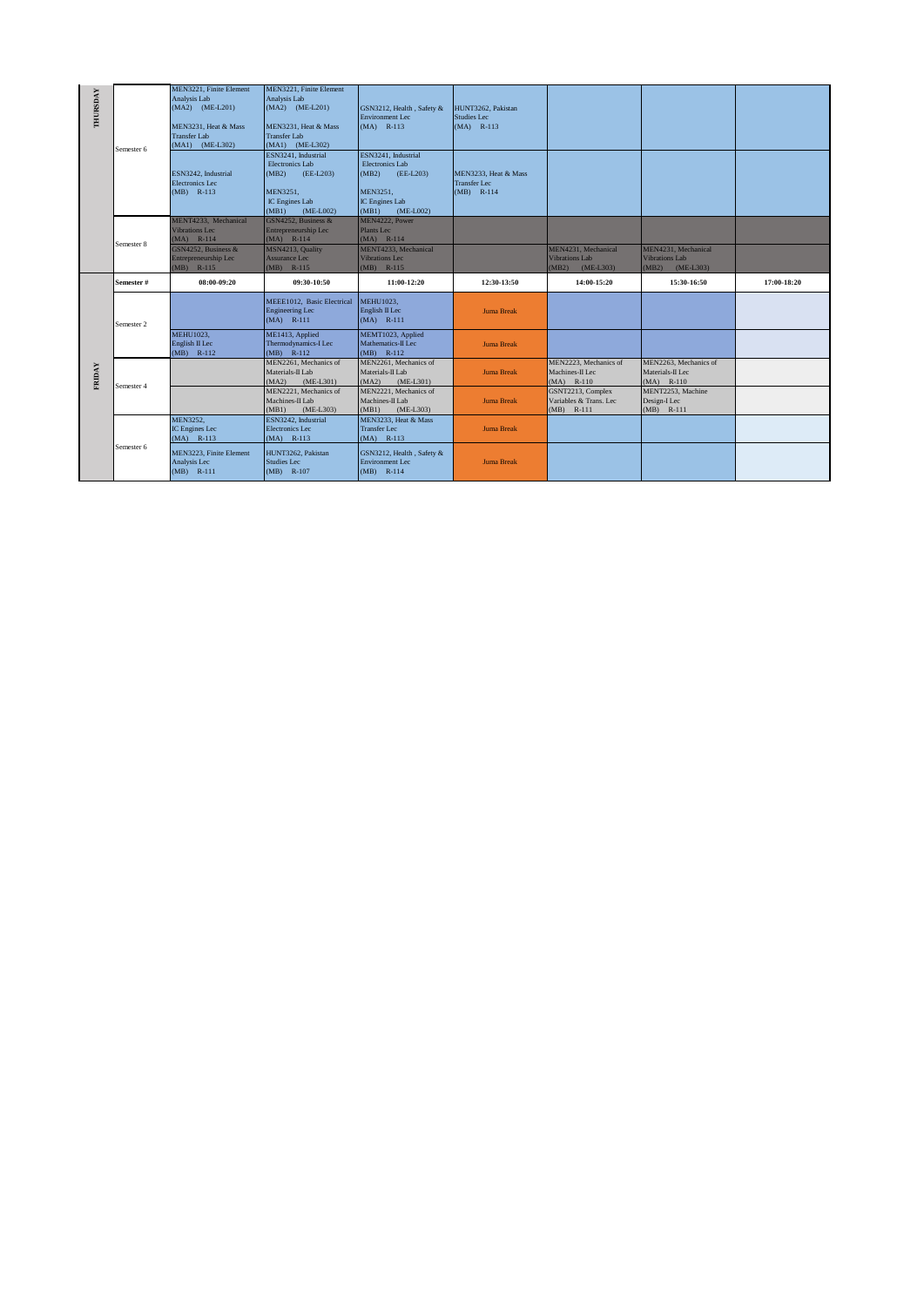| THURSDAY | Semester 6 | MEN3221, Finite Element<br>Analysis Lab<br>$(MA2)$ $(ME-L201)$<br>MEN3231, Heat & Mass<br><b>Transfer Lab</b><br>(MA1) (ME-L302) | MEN3221. Finite Element<br>Analysis Lab<br>(MA2) (ME-L201)<br>MEN3231. Heat & Mass<br><b>Transfer Lab</b><br>(MA1) (ME-L302) | GSN3212, Health, Safety &<br><b>Environment Lec</b><br>$(MA)$ R-113                                                       | HUNT3262, Pakistan<br><b>Studies Lec</b><br>$(MA)$ R-113    |                                                                      |                                                                      |             |
|----------|------------|----------------------------------------------------------------------------------------------------------------------------------|------------------------------------------------------------------------------------------------------------------------------|---------------------------------------------------------------------------------------------------------------------------|-------------------------------------------------------------|----------------------------------------------------------------------|----------------------------------------------------------------------|-------------|
|          |            | ESN3242. Industrial<br><b>Electronics</b> Lec<br>$(MB)$ R-113                                                                    | ESN3241. Industrial<br>Electronics Lab<br>(MB2)<br>(EE-L203)<br>MEN3251,<br>IC Engines Lab<br>(MB1)<br>$(ME-L002)$           | ESN3241, Industrial<br>Electronics Lab<br>(MB2)<br>(EE-L203)<br>MEN3251.<br><b>IC Engines Lab</b><br>(MB1)<br>$(ME-L002)$ | MEN3233. Heat & Mass<br><b>Transfer Lec</b><br>$(MB)$ R-114 |                                                                      |                                                                      |             |
|          | Semester 8 | MENT4233, Mechanical<br><b>Vibrations Lec</b><br>$(MA)$ R-114<br>GSN4252, Business &<br>Entrepreneurship Lec<br>$(MB)$ R-115     | GSN4252, Business &<br>Entrepreneurship Lec<br>$(MA)$ R-114<br>MSN4213, Quality<br>Assurance Lec<br>$(MB)$ R-115             | MEN4222, Power<br>Plants Lec<br>$(MA)$ R-114<br>MENT4233, Mechanical<br><b>Vibrations Lec</b><br>$(MB)$ R-115             |                                                             | MEN4231, Mechanical<br><b>Vibrations Lab</b><br>$(ME-L303)$<br>(MB2) | MEN4231, Mechanical<br><b>Vibrations Lab</b><br>(MB2)<br>$(ME-L303)$ |             |
|          | Semester#  | 08:00-09:20                                                                                                                      | 09:30-10:50                                                                                                                  | 11:00-12:20                                                                                                               | 12:30-13:50                                                 | 14:00-15:20                                                          | 15:30-16:50                                                          | 17:00-18:20 |
|          | Semester 2 |                                                                                                                                  | MEEE1012, Basic Electrical<br><b>Engineering Lec</b><br>$(MA)$ R-111                                                         | MEHU1023,<br>English II Lec                                                                                               | <b>Juma Break</b>                                           |                                                                      |                                                                      |             |
|          |            |                                                                                                                                  |                                                                                                                              | $(MA)$ R-111                                                                                                              |                                                             |                                                                      |                                                                      |             |
|          |            | <b>MEHU1023,</b><br>English II Lec<br>$(MB)$ R-112                                                                               | ME1413, Applied<br>Thermodynamics-I Lec<br>$(MB)$ R-112                                                                      | MEMT1023, Applied<br>Mathematics-II Lec<br>(MB) R-112                                                                     | Juma Break                                                  |                                                                      |                                                                      |             |
|          |            |                                                                                                                                  | MEN2261, Mechanics of<br>Materials-II Lab<br>(MA2)<br>(ME-L301)                                                              | MEN2261, Mechanics of<br>Materials-II Lab<br>(MA2)<br>(ME-L301)                                                           | <b>Juma Break</b>                                           | MEN2223, Mechanics of<br>Machines-II Lec<br>$(MA)$ R-110             | MEN2263, Mechanics of<br>Materials-II Lec<br>$(MA)$ R-110            |             |
| FRIDAY   | Semester 4 |                                                                                                                                  | MEN2221, Mechanics of<br>Machines-II Lab<br>(MB1)<br>$(ME-L303)$                                                             | MEN2221, Mechanics of<br>Machines-II Lab<br>$(ME-L303)$<br>(MB1)                                                          | <b>Juma Break</b>                                           | GSNT2213, Complex<br>Variables & Trans, Lec<br>$(MB)$ R-111          | MENT2253, Machine<br>Design-I Lec<br>$(MB)$ R-111                    |             |
|          |            | MEN3252,<br>IC Engines Lec<br>(MA) R-113                                                                                         | ESN3242. Industrial<br><b>Electronics</b> Lec<br>$(MA)$ R-113                                                                | MEN3233. Heat & Mass<br><b>Transfer Lec</b><br>$(MA)$ R-113                                                               | <b>Juma Break</b>                                           |                                                                      |                                                                      |             |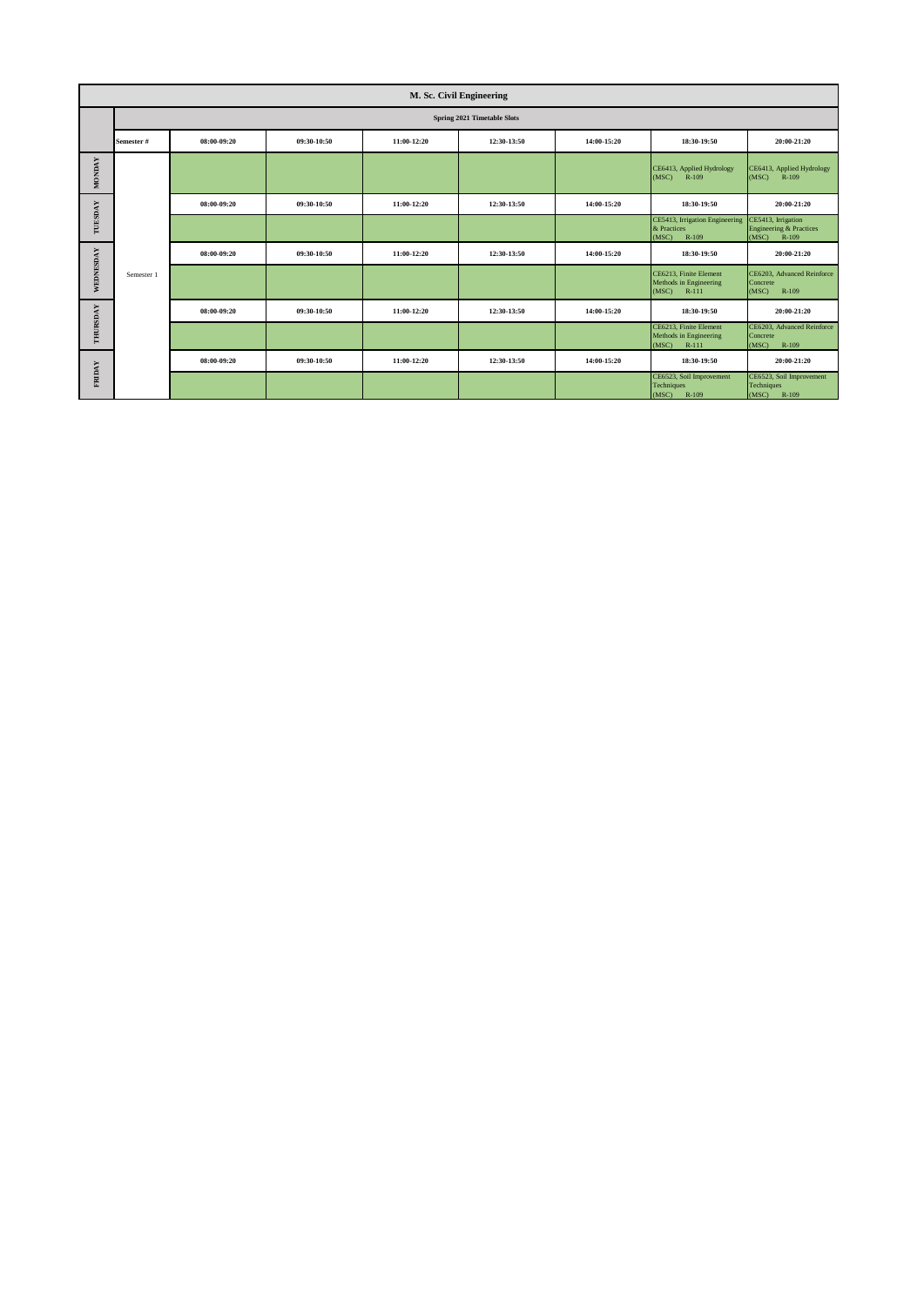|               | M. Sc. Civil Engineering    |             |             |             |             |             |                                                                      |                                                                            |  |  |
|---------------|-----------------------------|-------------|-------------|-------------|-------------|-------------|----------------------------------------------------------------------|----------------------------------------------------------------------------|--|--|
|               | Spring 2021 Timetable Slots |             |             |             |             |             |                                                                      |                                                                            |  |  |
|               | Semester #                  | 08:00-09:20 | 09:30-10:50 | 11:00-12:20 | 12:30-13:50 | 14:00-15:20 | 18:30-19:50                                                          | 20:00-21:20                                                                |  |  |
| <b>MONDAY</b> |                             |             |             |             |             |             | CE6413, Applied Hydrology<br>(MSC) R-109                             | CE6413, Applied Hydrology<br>(MSC)<br>R-109                                |  |  |
|               |                             | 08:00-09:20 | 09:30-10:50 | 11:00-12:20 | 12:30-13:50 | 14:00-15:20 | 18:30-19:50                                                          | 20:00-21:20                                                                |  |  |
| TUESDAY       |                             |             |             |             |             |             | CE5413, Irrigation Engineering<br>& Practices<br>(MSC)<br>R-109      | CE5413, Irrigation<br><b>Engineering &amp; Practices</b><br>(MSC)<br>R-109 |  |  |
|               |                             | 08:00-09:20 | 09:30-10:50 | 11:00-12:20 | 12:30-13:50 | 14:00-15:20 | 18:30-19:50                                                          | 20:00-21:20                                                                |  |  |
| WEDNESDAY     | Semester 1                  |             |             |             |             |             | CE6213. Finite Element<br>Methods in Engineering<br>(MSC)<br>$R-111$ | CE6203. Advanced Reinforce<br>Concrete<br>(MSC)<br>R-109                   |  |  |
|               |                             | 08:00-09:20 | 09:30-10:50 | 11:00-12:20 | 12:30-13:50 | 14:00-15:20 | 18:30-19:50                                                          | 20:00-21:20                                                                |  |  |
| THURSDAY      |                             |             |             |             |             |             | CE6213. Finite Element<br>Methods in Engineering<br>(MSC)<br>$R-111$ | CE6203, Advanced Reinforce<br>Concrete<br>(MSC)<br>R-109                   |  |  |
|               |                             | 08:00-09:20 | 09:30-10:50 | 11:00-12:20 | 12:30-13:50 | 14:00-15:20 | 18:30-19:50                                                          | 20:00-21:20                                                                |  |  |
| FRIDAY        |                             |             |             |             |             |             | CE6523, Soil Improvement<br>Techniques<br>R-109<br>(MSC)             | CE6523, Soil Improvement<br>Techniques<br>(MSC)<br>R-109                   |  |  |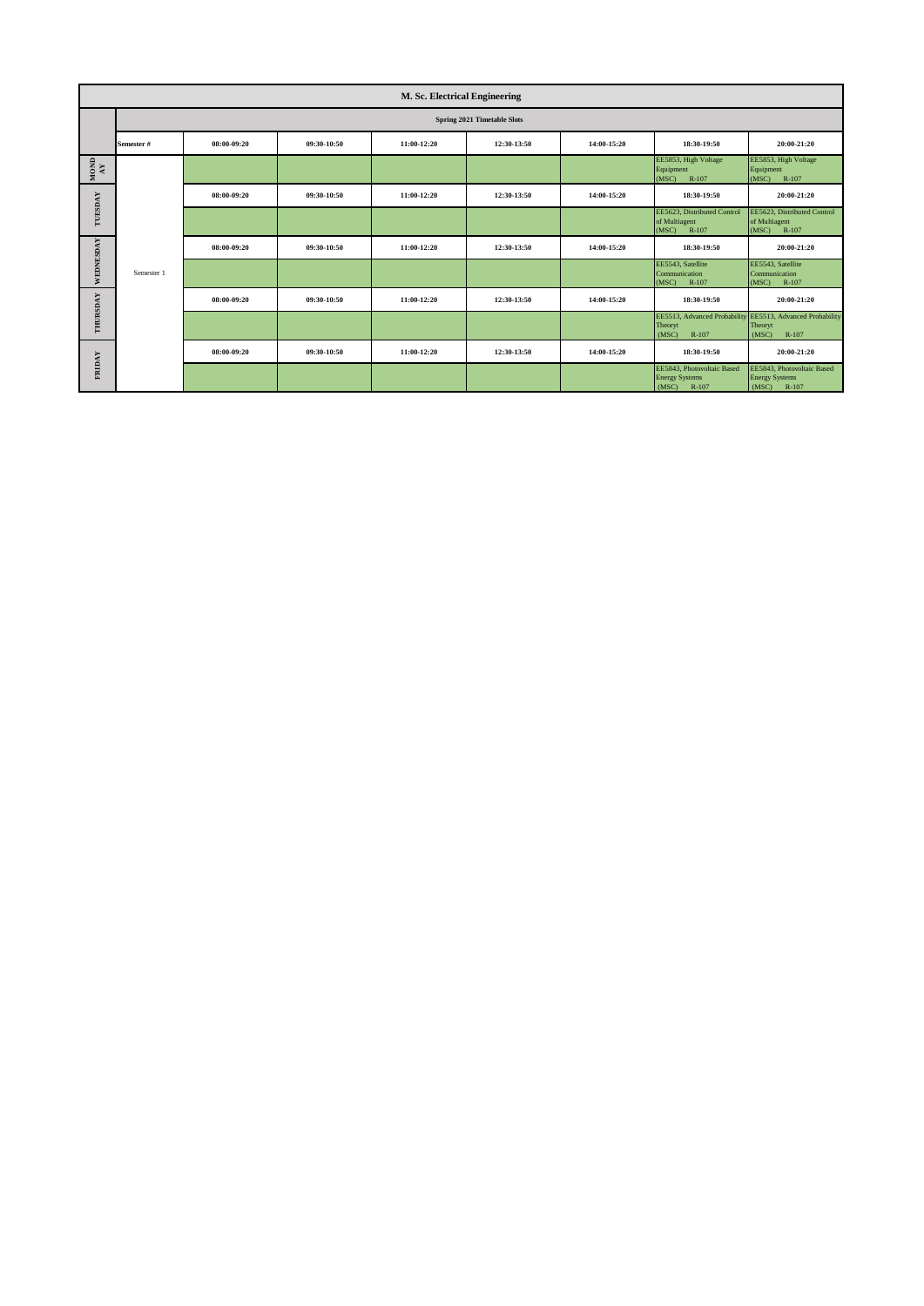|                      | M. Sc. Electrical Engineering |             |             |             |             |             |                                                                       |                                                                                        |  |  |  |
|----------------------|-------------------------------|-------------|-------------|-------------|-------------|-------------|-----------------------------------------------------------------------|----------------------------------------------------------------------------------------|--|--|--|
|                      | Spring 2021 Timetable Slots   |             |             |             |             |             |                                                                       |                                                                                        |  |  |  |
|                      | Semester#                     | 08:00-09:20 | 09:30-10:50 | 11:00-12:20 | 12:30-13:50 | 14:00-15:20 | 18:30-19:50                                                           | 20:00-21:20                                                                            |  |  |  |
| $_{\rm NOM}^{\rm N}$ |                               |             |             |             |             |             | EE5853, High Voltage<br>Equipment<br>(MSC)<br>R-107                   | EE5853, High Voltage<br>Equipment<br>R-107<br>(MSC)                                    |  |  |  |
|                      |                               | 08:00-09:20 | 09:30-10:50 | 11:00-12:20 | 12:30-13:50 | 14:00-15:20 | 18:30-19:50                                                           | 20:00-21:20                                                                            |  |  |  |
| TUESDAY              |                               |             |             |             |             |             | EE5623, Distributed Control<br>of Multiagent<br>(MSC)<br>R-107        | EE5623, Distributed Control<br>of Multiagent<br>(MSC)<br>R-107                         |  |  |  |
|                      |                               | 08:00-09:20 | 09:30-10:50 | 11:00-12:20 | 12:30-13:50 | 14:00-15:20 | 18:30-19:50                                                           | 20:00-21:20                                                                            |  |  |  |
| WEDNESDAY            | Semester 1                    |             |             |             |             |             | EE5543, Satellite<br>Communication<br>(MSC)<br>R-107                  | EE5543, Satellite<br>Communication<br>R-107<br>(MSC)                                   |  |  |  |
|                      |                               | 08:00-09:20 | 09:30-10:50 | 11:00-12:20 | 12:30-13:50 | 14:00-15:20 | 18:30-19:50                                                           | 20:00-21:20                                                                            |  |  |  |
| THURSDAY             |                               |             |             |             |             |             | Theoryt<br>(MSC)<br>$R-107$                                           | EE5513, Advanced Probability EE5513, Advanced Probability<br>Theoryt<br>(MSC)<br>R-107 |  |  |  |
|                      |                               | 08:00-09:20 | 09:30-10:50 | 11:00-12:20 | 12:30-13:50 | 14:00-15:20 | 18:30-19:50                                                           | 20:00-21:20                                                                            |  |  |  |
| <b>FRIDAY</b>        |                               |             |             |             |             |             | EE5843, Photovoltaic Based<br><b>Energy Systems</b><br>(MSC)<br>R-107 | EE5843, Photovoltaic Based<br><b>Energy Systems</b><br>R-107<br>(MSC)                  |  |  |  |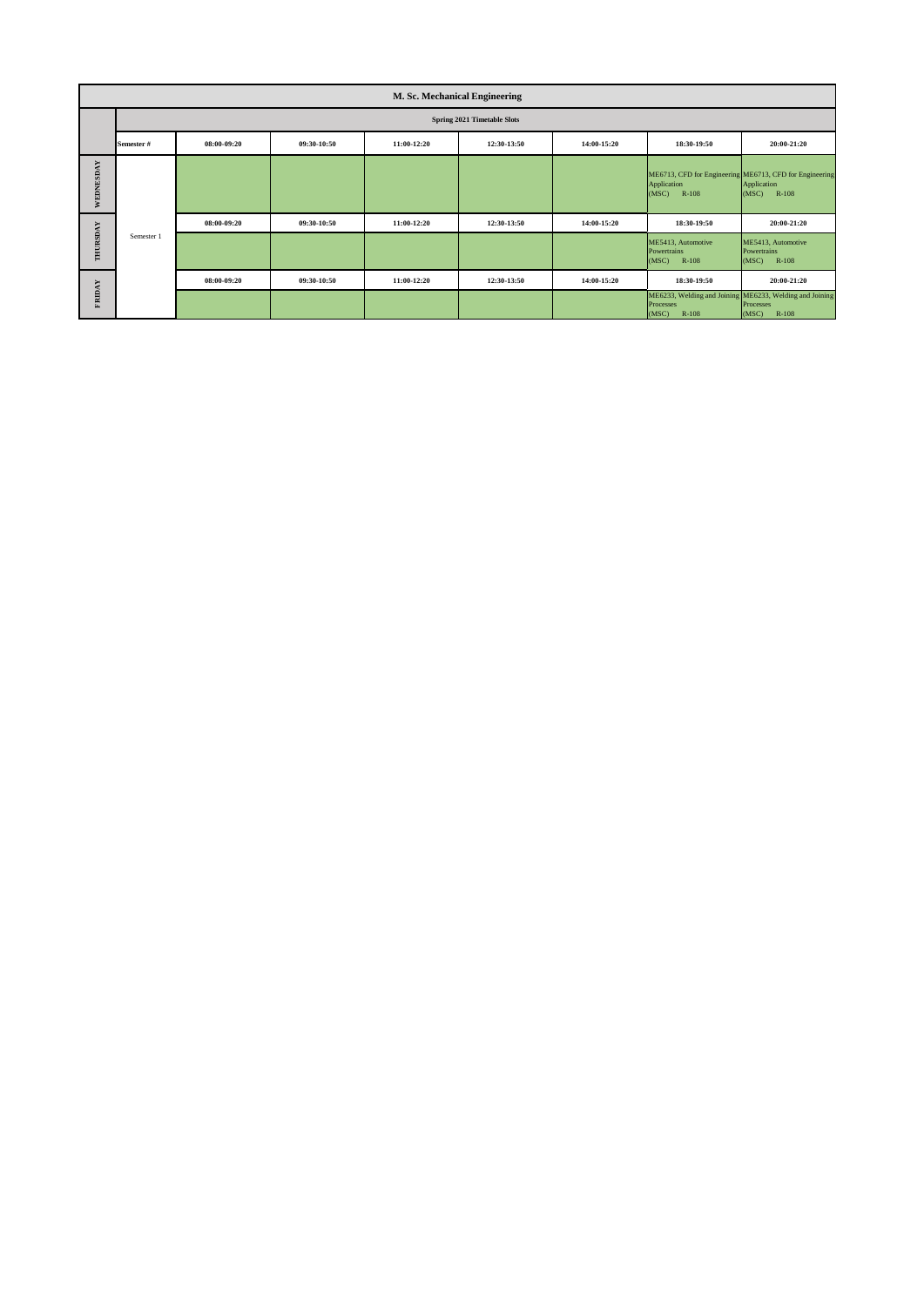|               | M. Sc. Mechanical Engineering |                                    |             |             |             |             |                                                            |                                                                                          |  |  |  |  |  |
|---------------|-------------------------------|------------------------------------|-------------|-------------|-------------|-------------|------------------------------------------------------------|------------------------------------------------------------------------------------------|--|--|--|--|--|
|               |                               | <b>Spring 2021 Timetable Slots</b> |             |             |             |             |                                                            |                                                                                          |  |  |  |  |  |
|               | Semester #                    | 08:00-09:20                        | 09:30-10:50 | 11:00-12:20 | 12:30-13:50 | 14:00-15:20 | 18:30-19:50                                                | 20:00-21:20                                                                              |  |  |  |  |  |
| WEDNESDAY     |                               |                                    |             |             |             |             | Application<br>(MSC)<br>R-108                              | ME6713, CFD for Engineering ME6713, CFD for Engineering<br>Application<br>(MSC)<br>R-108 |  |  |  |  |  |
|               | Semester 1                    | 08:00-09:20                        | 09:30-10:50 | 11:00-12:20 | 12:30-13:50 | 14:00-15:20 | 18:30-19:50                                                | 20:00-21:20                                                                              |  |  |  |  |  |
| THURSDAY      |                               |                                    |             |             |             |             | ME5413, Automotive<br>Powertrains<br>R-108<br>(MSC)        | ME5413, Automotive<br>Powertrains<br>R-108<br>(MSC)                                      |  |  |  |  |  |
|               |                               | 08:00-09:20                        | 09:30-10:50 | 11:00-12:20 | 12:30-13:50 | 14:00-15:20 | 18:30-19:50                                                | 20:00-21:20                                                                              |  |  |  |  |  |
| <b>FRIDAY</b> |                               |                                    |             |             |             |             | ME6233, Welding and Joining<br>Processes<br>(MSC)<br>R-108 | ME6233, Welding and Joining<br><b>Processes</b><br>$R-108$<br>(MSC)                      |  |  |  |  |  |